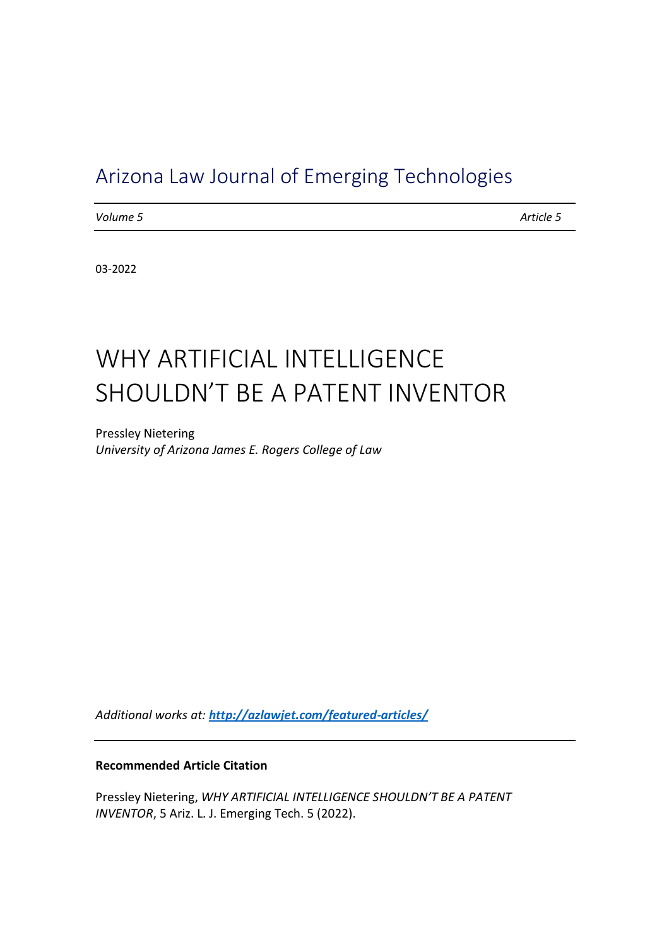# Arizona Law Journal of Emerging Technologies

*Volume 5 Article 5*

03-2022

# WHY ARTIFICIAL INTELLIGENCE SHOULDN'T BE A PATENT INVENTOR

Pressley Nietering *University of Arizona James E. Rogers College of Law*

*Additional works at: <http://azlawjet.com/featured-articles/>*

#### **Recommended Article Citation**

Pressley Nietering, WHY ARTIFICIAL INTELLIGENCE SHOULDN'T BE A PATENT *INVENTOR*, 5 Ariz. L. J. Emerging Tech. 5 (2022).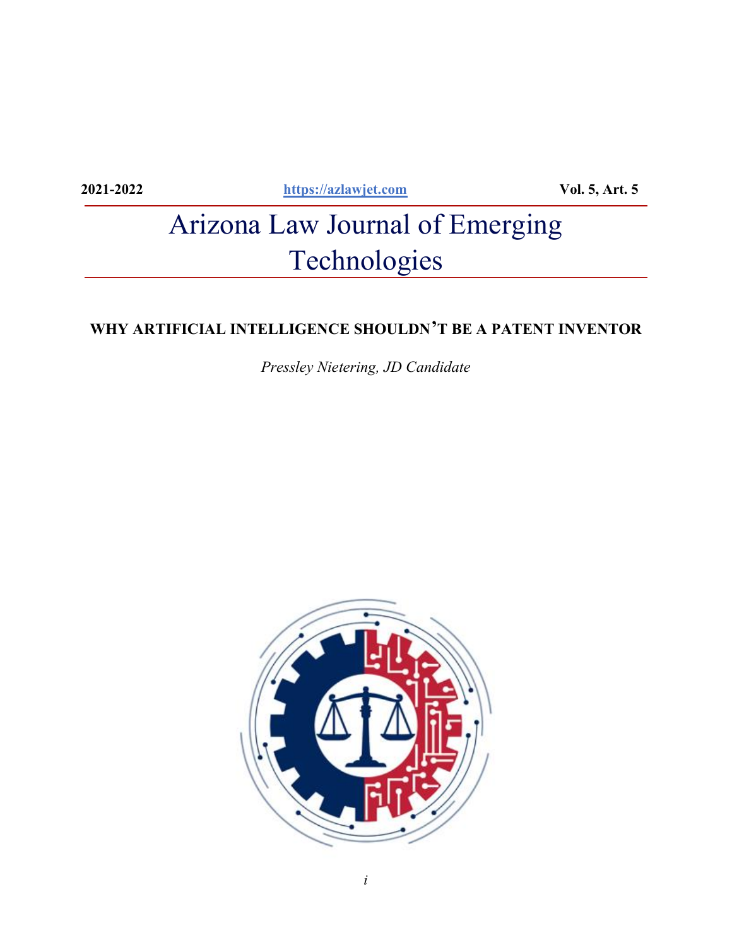**2021-2022 [https://azlawjet.com](https://azlawjet.com/) Vol. 5, Art. 5**

# Arizona Law Journal of Emerging Technologies

# **WHY ARTIFICIAL INTELLIGENCE SHOULDN¶T BE A PATENT INVENTOR**

*Pressley Nietering, JD Candidate*

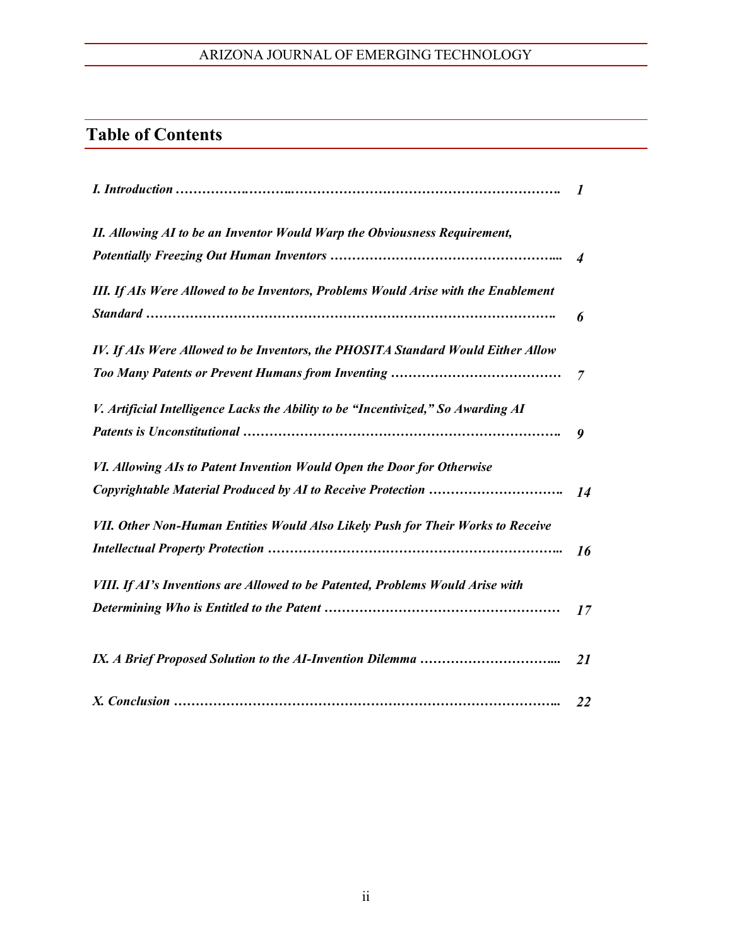# **Table of Contents**

|                                                                                    | $\boldsymbol{l}$ |
|------------------------------------------------------------------------------------|------------------|
| II. Allowing AI to be an Inventor Would Warp the Obviousness Requirement,          |                  |
|                                                                                    | $\overline{4}$   |
| III. If AIs Were Allowed to be Inventors, Problems Would Arise with the Enablement | 6                |
| IV. If AIs Were Allowed to be Inventors, the PHOSITA Standard Would Either Allow   |                  |
|                                                                                    | $\overline{7}$   |
| V. Artificial Intelligence Lacks the Ability to be "Incentivized," So Awarding AI  | 9                |
| VI. Allowing AIs to Patent Invention Would Open the Door for Otherwise             |                  |
|                                                                                    | 14               |
| VII. Other Non-Human Entities Would Also Likely Push for Their Works to Receive    | 16               |
| VIII. If AI's Inventions are Allowed to be Patented, Problems Would Arise with     |                  |
|                                                                                    | 17               |
|                                                                                    | <b>21</b>        |
|                                                                                    | 22               |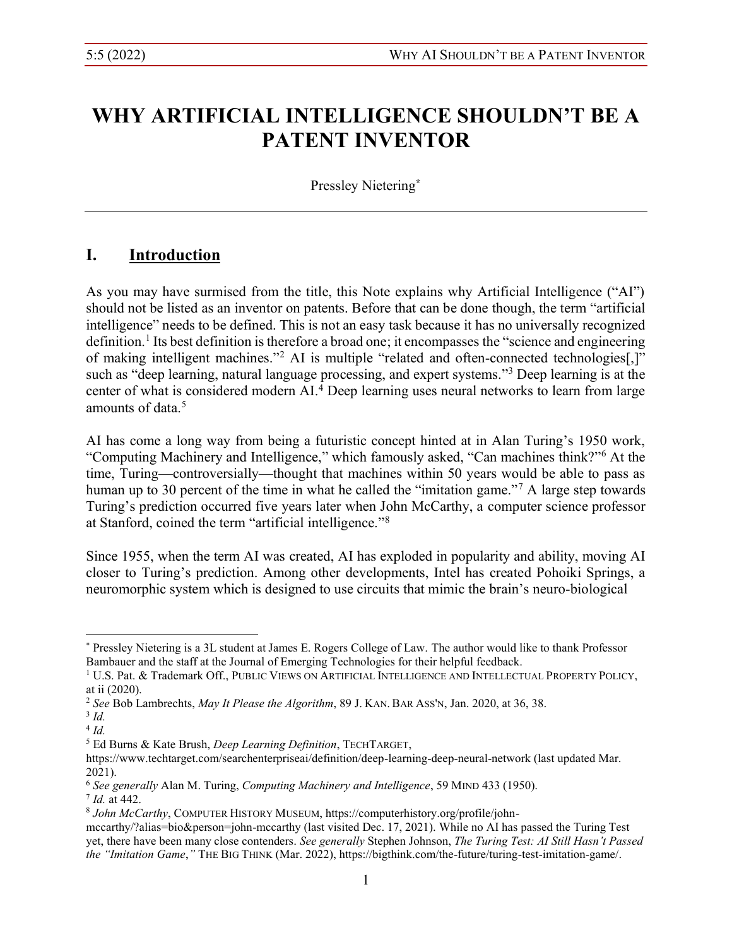# **WHY ARTIFICIAL INTELLIGENCE SHOULDN'T BE A PATENT INVENTOR**

Pressley Nietering**\***

# **I. Introduction**

As you may have surmised from the title, this Note explains why Artificial Intelligence ("AI") should not be listed as an inventor on patents. Before that can be done though, the term "artificial intelligence" needs to be defined. This is not an easy task because it has no universally recognized definition.<sup>1</sup> Its best definition is therefore a broad one; it encompasses the "science and engineering of making intelligent machines."<sup>2</sup> AI is multiple "related and often-connected technologies<sup>[1]</sup> such as "deep learning, natural language processing, and expert systems."<sup>3</sup> Deep learning is at the center of what is considered modern AI.4 Deep learning uses neural networks to learn from large amounts of data  $5$ 

AI has come a long way from being a futuristic concept hinted at in Alan Turing's 1950 work, "Computing Machinery and Intelligence," which famously asked, "Can machines think?"<sup>6</sup> At the time, Turing—controversially—thought that machines within 50 years would be able to pass as human up to 30 percent of the time in what he called the "imitation game."<sup>7</sup> A large step towards Turing's prediction occurred five years later when John McCarthy, a computer science professor at Stanford, coined the term "artificial intelligence." $8$ 

Since 1955, when the term AI was created, AI has exploded in popularity and ability, moving AI closer to Turing's prediction. Among other developments, Intel has created Pohoiki Springs, a neuromorphic system which is designed to use circuits that mimic the brain's neuro-biological

<sup>\*</sup> Pressley Nietering is a 3L student at James E. Rogers College of Law. The author would like to thank Professor Bambauer and the staff at the Journal of Emerging Technologies for their helpful feedback.

<sup>&</sup>lt;sup>1</sup> U.S. Pat. & Trademark Off., PUBLIC VIEWS ON ARTIFICIAL INTELLIGENCE AND INTELLECTUAL PROPERTY POLICY, at ii (2020).

<sup>2</sup> *See* Bob Lambrechts, *May It Please the Algorithm*, 89 J. KAN. BAR ASS'N, Jan. 2020, at 36, 38.

<sup>3</sup> *Id.*

<sup>4</sup> *Id.*

<sup>5</sup> Ed Burns & Kate Brush, *Deep Learning Definition*, TECHTARGET,

https://www.techtarget.com/searchenterpriseai/definition/deep-learning-deep-neural-network (last updated Mar. 2021). 6 *See generally* Alan M. Turing, *Computing Machinery and Intelligence*, 59 MIND 433 (1950).

<sup>7</sup> *Id.* at 442.

<sup>8</sup> *John McCarthy*, COMPUTER HISTORY MUSEUM, https://computerhistory.org/profile/john-

mccarthy/?alias=bio&person=john-mccarthy (last visited Dec. 17, 2021). While no AI has passed the Turing Test yet, there have been many close contenders. *See generally* Stephen Johnson, *The Turing Test: AI Still Hasn't Passed the "Imitation Game,"* THE BIG THINK (Mar. 2022), https://bigthink.com/the-future/turing-test-imitation-game/.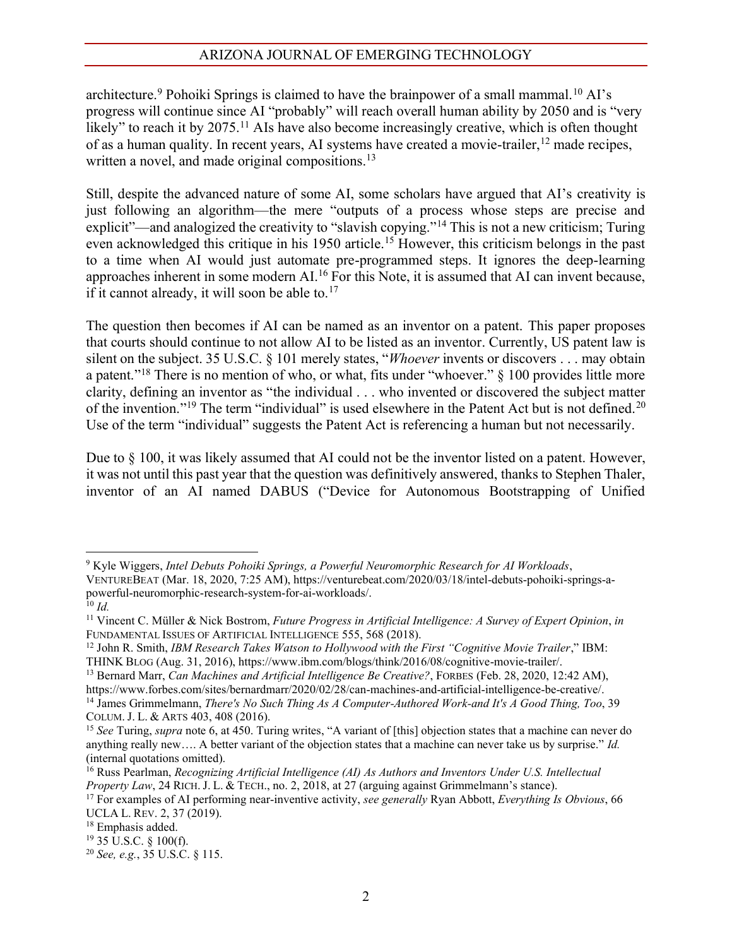architecture.<sup>9</sup> Pohoiki Springs is claimed to have the brainpower of a small mammal.<sup>10</sup> AI's progress will continue since AI "probably" will reach overall human ability by 2050 and is "very likely" to reach it by  $2075$ .<sup>11</sup> AIs have also become increasingly creative, which is often thought of as a human quality. In recent years, AI systems have created a movie-trailer, <sup>12</sup> made recipes, written a novel, and made original compositions.<sup>13</sup>

Still, despite the advanced nature of some AI, some scholars have argued that AI's creativity is just following an algorithm—the mere "outputs of a process whose steps are precise and explicit"—and analogized the creativity to "slavish copying."<sup>14</sup> This is not a new criticism; Turing even acknowledged this critique in his 1950 article.<sup>15</sup> However, this criticism belongs in the past to a time when AI would just automate pre-programmed steps. It ignores the deep-learning approaches inherent in some modern AI.16 For this Note, it is assumed that AI can invent because, if it cannot already, it will soon be able to.<sup>17</sup>

The question then becomes if AI can be named as an inventor on a patent. This paper proposes that courts should continue to not allow AI to be listed as an inventor. Currently, US patent law is silent on the subject. 35 U.S.C. § 101 merely states, "*Whoever* invents or discovers . . . may obtain a patent."<sup>18</sup> There is no mention of who, or what, fits under "whoever."  $\S$  100 provides little more clarity, defining an inventor as "the individual  $\ldots$  who invented or discovered the subject matter of the invention."<sup>19</sup> The term "individual" is used elsewhere in the Patent Act but is not defined.<sup>20</sup> Use of the term "individual" suggests the Patent Act is referencing a human but not necessarily.

Due to § 100, it was likely assumed that AI could not be the inventor listed on a patent. However, it was not until this past year that the question was definitively answered, thanks to Stephen Thaler, inventor of an AI named DABUS ("Device for Autonomous Bootstrapping of Unified

<sup>9</sup> Kyle Wiggers, *Intel Debuts Pohoiki Springs, a Powerful Neuromorphic Research for AI Workloads*,

VENTUREBEAT (Mar. 18, 2020, 7:25 AM), https://venturebeat.com/2020/03/18/intel-debuts-pohoiki-springs-apowerful-neuromorphic-research-system-for-ai-workloads/.

<sup>10</sup> *Id.*

<sup>11</sup> Vincent C. Müller & Nick Bostrom, *Future Progress in Artificial Intelligence: A Survey of Expert Opinion*, *in*  FUNDAMENTAL ISSUES OF ARTIFICIAL INTELLIGENCE 555, 568 (2018).

<sup>&</sup>lt;sup>12</sup> John R. Smith, *IBM Research Takes Watson to Hollywood with the First "Cognitive Movie Trailer," IBM:* 

THINK BLOG (Aug. 31, 2016), https://www.ibm.com/blogs/think/2016/08/cognitive-movie-trailer/.

<sup>13</sup> Bernard Marr, *Can Machines and Artificial Intelligence Be Creative?*, FORBES (Feb. 28, 2020, 12:42 AM), https://www.forbes.com/sites/bernardmarr/2020/02/28/can-machines-and-artificial-intelligence-be-creative/.

<sup>14</sup> James Grimmelmann, *There's No Such Thing As A Computer-Authored Work-and It's A Good Thing, Too*, 39 COLUM. J. L. & ARTS 403, 408 (2016).

<sup>&</sup>lt;sup>15</sup> See Turing, *supra* note 6, at 450. Turing writes, "A variant of [this] objection states that a machine can never do anything really new .... A better variant of the objection states that a machine can never take us by surprise." Id. (internal quotations omitted).

<sup>16</sup> Russ Pearlman, *Recognizing Artificial Intelligence (AI) As Authors and Inventors Under U.S. Intellectual Property Law*, 24 RICH. J. L. & TECH., no. 2, 2018, at 27 (arguing against Grimmelmann's stance).

<sup>17</sup> For examples of AI performing near-inventive activity, *see generally* Ryan Abbott, *Everything Is Obvious*, 66 UCLA L. REV. 2, 37 (2019).

<sup>&</sup>lt;sup>18</sup> Emphasis added.<br><sup>19</sup> 35 U.S.C. § 100(f).

<sup>20</sup> *See, e.g.*, 35 U.S.C. § 115.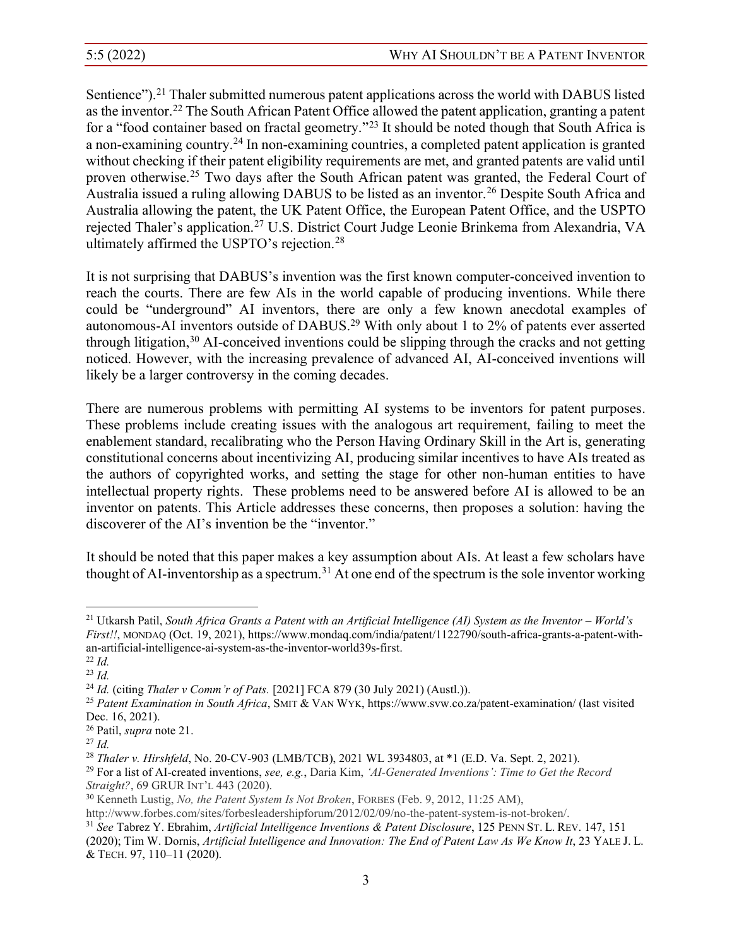Sentience").<sup>21</sup> Thaler submitted numerous patent applications across the world with DABUS listed as the inventor.22 The South African Patent Office allowed the patent application, granting a patent for a "food container based on fractal geometry."<sup>23</sup> It should be noted though that South Africa is a non-examining country.24 In non-examining countries, a completed patent application is granted without checking if their patent eligibility requirements are met, and granted patents are valid until proven otherwise.25 Two days after the South African patent was granted, the Federal Court of Australia issued a ruling allowing DABUS to be listed as an inventor.<sup>26</sup> Despite South Africa and Australia allowing the patent, the UK Patent Office, the European Patent Office, and the USPTO rejected Thaler's application.<sup>27</sup> U.S. District Court Judge Leonie Brinkema from Alexandria, VA ultimately affirmed the USPTO's rejection.<sup>28</sup>

It is not surprising that DABUS's invention was the first known computer-conceived invention to reach the courts. There are few AIs in the world capable of producing inventions. While there could be "underground" AI inventors, there are only a few known anecdotal examples of autonomous-AI inventors outside of DABUS.29 With only about 1 to 2% of patents ever asserted through litigation, <sup>30</sup> AI-conceived inventions could be slipping through the cracks and not getting noticed. However, with the increasing prevalence of advanced AI, AI-conceived inventions will likely be a larger controversy in the coming decades.

There are numerous problems with permitting AI systems to be inventors for patent purposes. These problems include creating issues with the analogous art requirement, failing to meet the enablement standard, recalibrating who the Person Having Ordinary Skill in the Art is, generating constitutional concerns about incentivizing AI, producing similar incentives to have AIs treated as the authors of copyrighted works, and setting the stage for other non-human entities to have intellectual property rights. These problems need to be answered before AI is allowed to be an inventor on patents. This Article addresses these concerns, then proposes a solution: having the discoverer of the AI's invention be the "inventor."

It should be noted that this paper makes a key assumption about AIs. At least a few scholars have thought of AI-inventorship as a spectrum.<sup>31</sup> At one end of the spectrum is the sole inventor working

<sup>27</sup> *Id.*

<sup>&</sup>lt;sup>21</sup> Utkarsh Patil, *South Africa Grants a Patent with an Artificial Intelligence (AI) System as the Inventor - World's First!!*, MONDAQ (Oct. 19, 2021), https://www.mondaq.com/india/patent/1122790/south-africa-grants-a-patent-withan-artificial-intelligence-ai-system-as-the-inventor-world39s-first.

<sup>22</sup> *Id.*

<sup>&</sup>lt;sup>23</sup> *Id.*<br><sup>24</sup> *Id.* (citing *Thaler v Comm'r of Pats.* [2021] FCA 879 (30 July 2021) (Austl.)).

<sup>&</sup>lt;sup>25</sup> Patent Examination in South Africa, SMIT & VAN WYK, https://www.svw.co.za/patent-examination/ (last visited Dec. 16, 2021).

<sup>26</sup> Patil, *supra* note 21.

<sup>28</sup> *Thaler v. Hirshfeld*, No. 20-CV-903 (LMB/TCB), 2021 WL 3934803, at \*1 (E.D. Va. Sept. 2, 2021).

<sup>&</sup>lt;sup>29</sup> For a list of AI-created inventions, *see, e.g.*, Daria Kim, *'AI-Generated Inventions': Time to Get the Record Straight?*, 69 GRUR INT'L 443 (2020).

<sup>30</sup> Kenneth Lustig, *No, the Patent System Is Not Broken*, FORBES (Feb. 9, 2012, 11:25 AM),

http://www.forbes.com/sites/forbesleadershipforum/2012/02/09/no-the-patent-system-is-not-broken/.

<sup>31</sup> *See* Tabrez Y. Ebrahim, *Artificial Intelligence Inventions & Patent Disclosure*, 125 PENN ST. L. REV. 147, 151 (2020); Tim W. Dornis, *Artificial Intelligence and Innovation: The End of Patent Law As We Know It*, 23 YALE J. L. & TECH. 97, 110±11 (2020).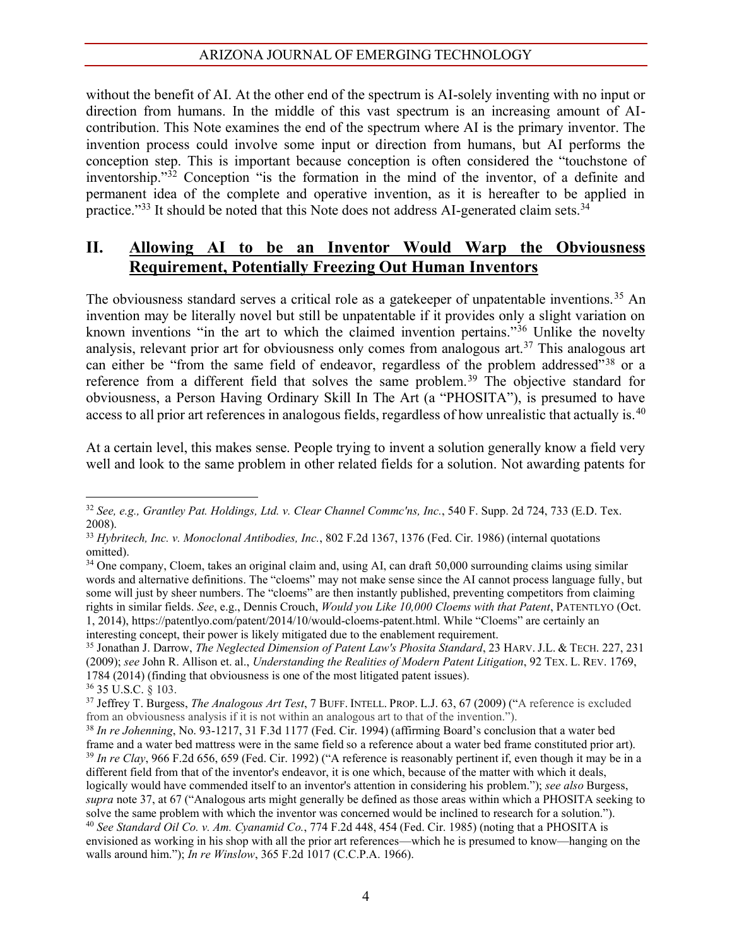without the benefit of AI. At the other end of the spectrum is AI-solely inventing with no input or direction from humans. In the middle of this vast spectrum is an increasing amount of AIcontribution. This Note examines the end of the spectrum where AI is the primary inventor. The invention process could involve some input or direction from humans, but AI performs the conception step. This is important because conception is often considered the "touchstone of inventorship."<sup>32</sup> Conception "is the formation in the mind of the inventor, of a definite and permanent idea of the complete and operative invention, as it is hereafter to be applied in practice." $33$  It should be noted that this Note does not address AI-generated claim sets. $34$ 

### **II. Allowing AI to be an Inventor Would Warp the Obviousness Requirement, Potentially Freezing Out Human Inventors**

The obviousness standard serves a critical role as a gatekeeper of unpatentable inventions.<sup>35</sup> An invention may be literally novel but still be unpatentable if it provides only a slight variation on known inventions "in the art to which the claimed invention pertains."<sup>36</sup> Unlike the novelty analysis, relevant prior art for obviousness only comes from analogous art.<sup>37</sup> This analogous art can either be "from the same field of endeavor, regardless of the problem addressed"<sup>38</sup> or a reference from a different field that solves the same problem.<sup>39</sup> The objective standard for obviousness, a Person Having Ordinary Skill In The Art (a "PHOSITA"), is presumed to have access to all prior art references in analogous fields, regardless of how unrealistic that actually is.<sup>40</sup>

At a certain level, this makes sense. People trying to invent a solution generally know a field very well and look to the same problem in other related fields for a solution. Not awarding patents for

<sup>32</sup> *See, e.g., Grantley Pat. Holdings, Ltd. v. Clear Channel Commc'ns, Inc.*, 540 F. Supp. 2d 724, 733 (E.D. Tex. 2008).

<sup>33</sup> *Hybritech, Inc. v. Monoclonal Antibodies, Inc.*, 802 F.2d 1367, 1376 (Fed. Cir. 1986) (internal quotations omitted).

<sup>&</sup>lt;sup>34</sup> One company, Cloem, takes an original claim and, using AI, can draft 50,000 surrounding claims using similar words and alternative definitions. The "cloems" may not make sense since the AI cannot process language fully, but some will just by sheer numbers. The "cloems" are then instantly published, preventing competitors from claiming rights in similar fields. *See*, e.g., Dennis Crouch, *Would you Like 10,000 Cloems with that Patent*, PATENTLYO (Oct. 1, 2014), https://patentlyo.com/patent/2014/10/would-cloems-patent.html. While "Cloems" are certainly an

interesting concept, their power is likely mitigated due to the enablement requirement.<br><sup>35</sup> Jonathan J. Darrow, *The Neglected Dimension of Patent Law's Phosita Standard*, 23 HARV. J.L. & TECH. 227, 231 (2009); *see* John R. Allison et. al., *Understanding the Realities of Modern Patent Litigation*, 92 TEX. L. REV. 1769, 1784 (2014) (finding that obviousness is one of the most litigated patent issues). 36 35 U.S.C. § 103.

<sup>&</sup>lt;sup>37</sup> Jeffrey T. Burgess, *The Analogous Art Test*, 7 BUFF. INTELL. PROP. L.J. 63, 67 (2009) ("A reference is excluded from an obviousness analysis if it is not within an analogous art to that of the invention.").

<sup>&</sup>lt;sup>38</sup> In re Johenning, No. 93-1217, 31 F.3d 1177 (Fed. Cir. 1994) (affirming Board's conclusion that a water bed frame and a water bed mattress were in the same field so a reference about a water bed frame constituted prior art).<br><sup>39</sup> In re Clay, 966 F.2d 656, 659 (Fed. Cir. 1992) ("A reference is reasonably pertinent if, even thoug different field from that of the inventor's endeavor, it is one which, because of the matter with which it deals, logically would have commended itself to an inventor's attention in considering his problem."); see also Burgess, *supra* note 37, at 67 ("Analogous arts might generally be defined as those areas within which a PHOSITA seeking to solve the same problem with which the inventor was concerned would be inclined to research for a solution."). <sup>40</sup> *See Standard Oil Co. v. Am. Cyanamid Co.*, 774 F.2d 448, 454 (Fed. Cir. 1985) (noting that a PHOSITA is envisioned as working in his shop with all the prior art references—which he is presumed to know—hanging on the walls around him."); *In re Winslow*, 365 F.2d 1017 (C.C.P.A. 1966).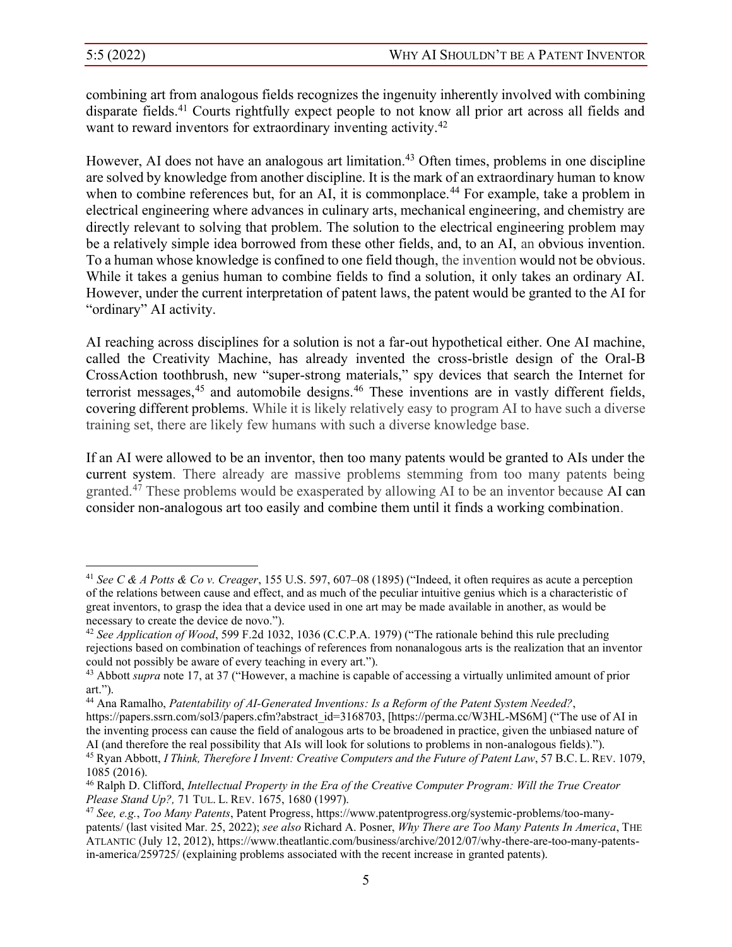combining art from analogous fields recognizes the ingenuity inherently involved with combining disparate fields.41 Courts rightfully expect people to not know all prior art across all fields and want to reward inventors for extraordinary inventing activity.<sup>42</sup>

However, AI does not have an analogous art limitation.<sup>43</sup> Often times, problems in one discipline are solved by knowledge from another discipline. It is the mark of an extraordinary human to know when to combine references but, for an AI, it is commonplace.<sup>44</sup> For example, take a problem in electrical engineering where advances in culinary arts, mechanical engineering, and chemistry are directly relevant to solving that problem. The solution to the electrical engineering problem may be a relatively simple idea borrowed from these other fields, and, to an AI, an obvious invention. To a human whose knowledge is confined to one field though, the invention would not be obvious. While it takes a genius human to combine fields to find a solution, it only takes an ordinary AI. However, under the current interpretation of patent laws, the patent would be granted to the AI for "ordinary" AI activity.

AI reaching across disciplines for a solution is not a far-out hypothetical either. One AI machine, called the Creativity Machine, has already invented the cross-bristle design of the Oral-B CrossAction toothbrush, new "super-strong materials," spy devices that search the Internet for terrorist messages,<sup>45</sup> and automobile designs.<sup>46</sup> These inventions are in vastly different fields, covering different problems. While it is likely relatively easy to program AI to have such a diverse training set, there are likely few humans with such a diverse knowledge base.

If an AI were allowed to be an inventor, then too many patents would be granted to AIs under the current system. There already are massive problems stemming from too many patents being granted.47 These problems would be exasperated by allowing AI to be an inventor because AI can consider non-analogous art too easily and combine them until it finds a working combination.

<sup>&</sup>lt;sup>41</sup> *See C & A Potts & Co v. Creager*, 155 U.S. 597, 607–08 (1895) ("Indeed, it often requires as acute a perception of the relations between cause and effect, and as much of the peculiar intuitive genius which is a characteristic of great inventors, to grasp the idea that a device used in one art may be made available in another, as would be necessary to create the device de novo.").

<sup>&</sup>lt;sup>42</sup> See Application of Wood, 599 F.2d 1032, 1036 (C.C.P.A. 1979) ("The rationale behind this rule precluding rejections based on combination of teachings of references from nonanalogous arts is the realization that an inventor could not possibly be aware of every teaching in every art.").

<sup>&</sup>lt;sup>43</sup> Abbott *supra* note 17, at 37 ("However, a machine is capable of accessing a virtually unlimited amount of prior  $art.$ ").

<sup>44</sup> Ana Ramalho, *Patentability of AI-Generated Inventions: Is a Reform of the Patent System Needed?*,

https://papers.ssrn.com/sol3/papers.cfm?abstract\_id=3168703, [https://perma.cc/W3HL-MS6M] ("The use of AI in the inventing process can cause the field of analogous arts to be broadened in practice, given the unbiased nature of AI (and therefore the real possibility that AIs will look for solutions to problems in non-analogous fields)."). <sup>45</sup> Ryan Abbott, *I Think, Therefore I Invent: Creative Computers and the Future of Patent Law*, 57 B.C. L. REV. 1079, 1085 (2016).

<sup>46</sup> Ralph D. Clifford, *Intellectual Property in the Era of the Creative Computer Program: Will the True Creator Please Stand Up?,* 71 TUL. L. REV. 1675, 1680 (1997).

<sup>47</sup> *See, e.g.*, *Too Many Patents*, Patent Progress, https://www.patentprogress.org/systemic-problems/too-manypatents/ (last visited Mar. 25, 2022); *see also* Richard A. Posner, *Why There are Too Many Patents In America*, THE ATLANTIC (July 12, 2012), https://www.theatlantic.com/business/archive/2012/07/why-there-are-too-many-patentsin-america/259725/ (explaining problems associated with the recent increase in granted patents).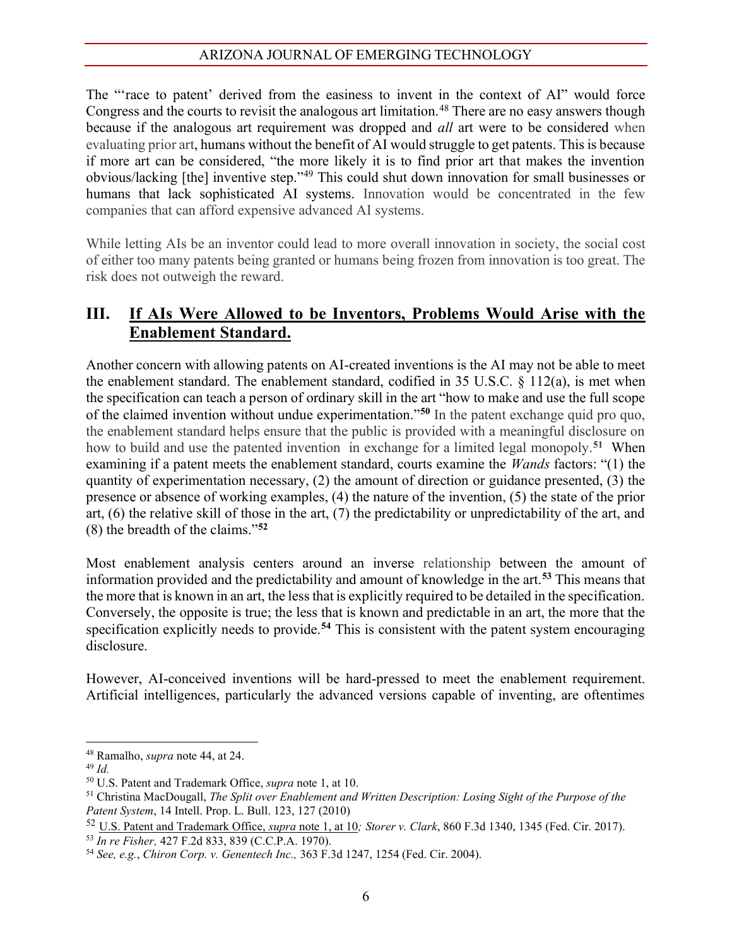The "race to patent' derived from the easiness to invent in the context of AI" would force Congress and the courts to revisit the analogous art limitation.<sup>48</sup> There are no easy answers though because if the analogous art requirement was dropped and *all* art were to be considered when evaluating prior art, humans without the benefit of AI would struggle to get patents. This is because if more art can be considered, "the more likely it is to find prior art that makes the invention obvious/lacking [the] inventive step."<sup>49</sup> This could shut down innovation for small businesses or humans that lack sophisticated AI systems. Innovation would be concentrated in the few companies that can afford expensive advanced AI systems.

While letting AIs be an inventor could lead to more overall innovation in society, the social cost of either too many patents being granted or humans being frozen from innovation is too great. The risk does not outweigh the reward.

## **III. If AIs Were Allowed to be Inventors, Problems Would Arise with the Enablement Standard.**

Another concern with allowing patents on AI-created inventions is the AI may not be able to meet the enablement standard. The enablement standard, codified in 35 U.S.C. § 112(a), is met when the specification can teach a person of ordinary skill in the art "how to make and use the full scope of the claimed invention without undue experimentation."<sup>50</sup> In the patent exchange quid pro quo, the enablement standard helps ensure that the public is provided with a meaningful disclosure on how to build and use the patented invention in exchange for a limited legal monopoly.**<sup>51</sup>** When examining if a patent meets the enablement standard, courts examine the *Wands* factors: "(1) the quantity of experimentation necessary, (2) the amount of direction or guidance presented, (3) the presence or absence of working examples, (4) the nature of the invention, (5) the state of the prior art, (6) the relative skill of those in the art, (7) the predictability or unpredictability of the art, and  $(8)$  the breadth of the claims.<sup> $52$ </sup>

Most enablement analysis centers around an inverse relationship between the amount of information provided and the predictability and amount of knowledge in the art.**<sup>53</sup>** This means that the more that is known in an art, the less that is explicitly required to be detailed in the specification. Conversely, the opposite is true; the less that is known and predictable in an art, the more that the specification explicitly needs to provide.**<sup>54</sup>** This is consistent with the patent system encouraging disclosure.

However, AI-conceived inventions will be hard-pressed to meet the enablement requirement. Artificial intelligences, particularly the advanced versions capable of inventing, are oftentimes

<sup>48</sup> Ramalho, *supra* note 44, at 24. 49 *Id.*

<sup>50</sup> U.S. Patent and Trademark Office, *supra* note 1, at 10.

<sup>51</sup> Christina MacDougall, *The Split over Enablement and Written Description: Losing Sight of the Purpose of the Patent System*, 14 Intell. Prop. L. Bull. 123, 127 (2010)

<sup>52</sup> U.S. Patent and Trademark Office, *supra* note 1, at 10*; Storer v. Clark*, 860 F.3d 1340, 1345 (Fed. Cir. 2017).

<sup>53</sup> *In re Fisher,* 427 F.2d 833, 839 (C.C.P.A. 1970).

<sup>54</sup> *See, e.g.*, *Chiron Corp. v. Genentech Inc.,* 363 F.3d 1247, 1254 (Fed. Cir. 2004).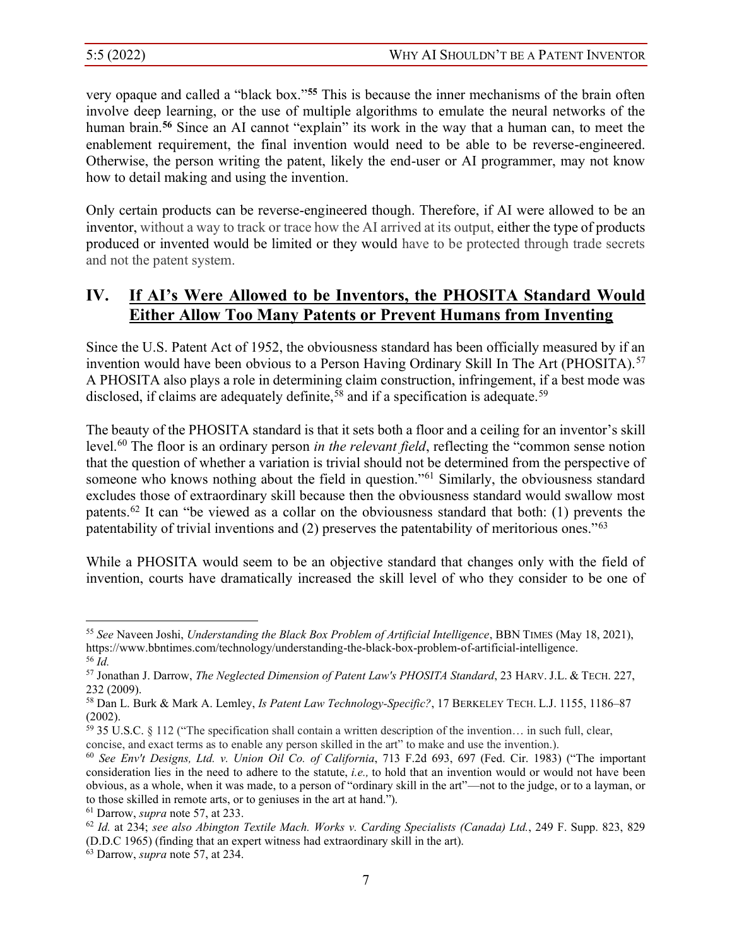very opaque and called a "black box."<sup>55</sup> This is because the inner mechanisms of the brain often involve deep learning, or the use of multiple algorithms to emulate the neural networks of the human brain.<sup>56</sup> Since an AI cannot "explain" its work in the way that a human can, to meet the enablement requirement, the final invention would need to be able to be reverse-engineered. Otherwise, the person writing the patent, likely the end-user or AI programmer, may not know how to detail making and using the invention.

Only certain products can be reverse-engineered though. Therefore, if AI were allowed to be an inventor, without a way to track or trace how the AI arrived at its output, either the type of products produced or invented would be limited or they would have to be protected through trade secrets and not the patent system.

# **IV.** If AI's Were Allowed to be Inventors, the PHOSITA Standard Would **Either Allow Too Many Patents or Prevent Humans from Inventing**

Since the U.S. Patent Act of 1952, the obviousness standard has been officially measured by if an invention would have been obvious to a Person Having Ordinary Skill In The Art (PHOSITA).<sup>57</sup> A PHOSITA also plays a role in determining claim construction, infringement, if a best mode was disclosed, if claims are adequately definite,  $58$  and if a specification is adequate.  $59$ 

The beauty of the PHOSITA standard is that it sets both a floor and a ceiling for an inventor's skill level.<sup>60</sup> The floor is an ordinary person *in the relevant field*, reflecting the "common sense notion" that the question of whether a variation is trivial should not be determined from the perspective of someone who knows nothing about the field in question."<sup>61</sup> Similarly, the obviousness standard excludes those of extraordinary skill because then the obviousness standard would swallow most patents.<sup>62</sup> It can "be viewed as a collar on the obviousness standard that both: (1) prevents the patentability of trivial inventions and (2) preserves the patentability of meritorious ones." $63$ 

While a PHOSITA would seem to be an objective standard that changes only with the field of invention, courts have dramatically increased the skill level of who they consider to be one of

<sup>55</sup> *See* Naveen Joshi, *Understanding the Black Box Problem of Artificial Intelligence*, BBN TIMES (May 18, 2021), https://www.bbntimes.com/technology/understanding-the-black-box-problem-of-artificial-intelligence. <sup>56</sup> *Id.*

<sup>57</sup> Jonathan J. Darrow, *The Neglected Dimension of Patent Law's PHOSITA Standard*, 23 HARV. J.L. & TECH. 227, 232 (2009).

<sup>58</sup> Dan L. Burk & Mark A. Lemley, *Is Patent Law Technology-Specific?*, 17 BERKELEY TECH. L.J. 1155, 1186-87 (2002).

 $59$  35 U.S.C. § 112 ("The specification shall contain a written description of the invention... in such full, clear, concise, and exact terms as to enable any person skilled in the art" to make and use the invention.).

<sup>&</sup>lt;sup>60</sup> See Env't Designs, Ltd. v. Union Oil Co. of California, 713 F.2d 693, 697 (Fed. Cir. 1983) ("The important consideration lies in the need to adhere to the statute, *i.e.,* to hold that an invention would or would not have been obvious, as a whole, when it was made, to a person of "ordinary skill in the art"—not to the judge, or to a layman, or to those skilled in remote arts, or to geniuses in the art at hand.").

<sup>61</sup> Darrow, *supra* note 57, at 233.

<sup>62</sup> *Id.* at 234; *see also Abington Textile Mach. Works v. Carding Specialists (Canada) Ltd.*, 249 F. Supp. 823, 829 (D.D.C 1965) (finding that an expert witness had extraordinary skill in the art). 63 Darrow, *supra* note 57, at 234.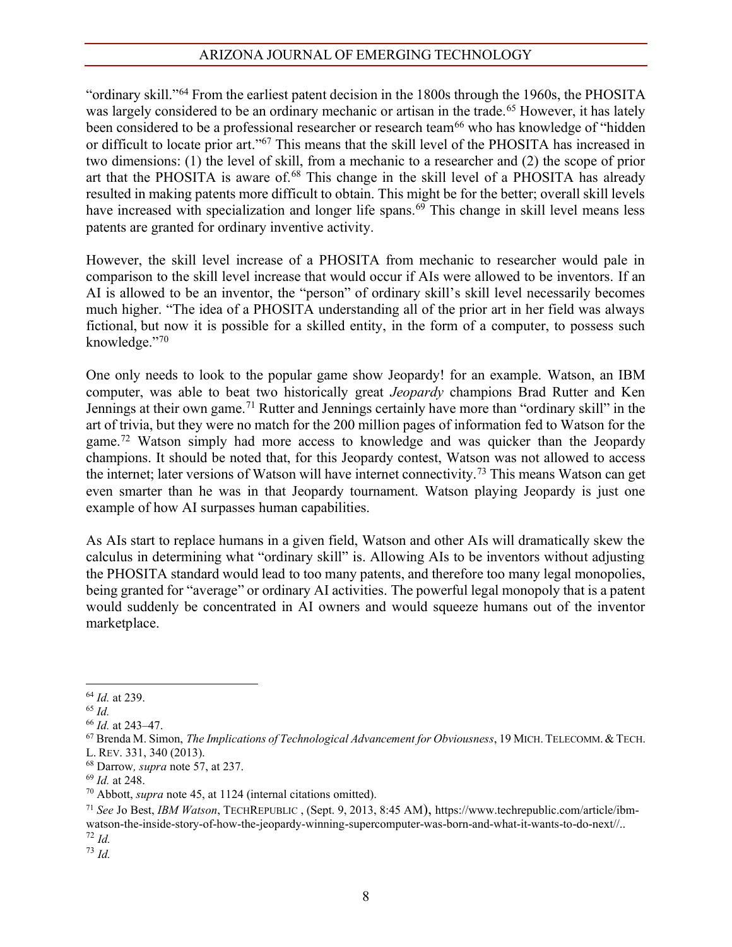"ordinary skill,"<sup>64</sup> From the earliest patent decision in the 1800s through the 1960s, the PHOSITA was largely considered to be an ordinary mechanic or artisan in the trade.<sup>65</sup> However, it has lately been considered to be a professional researcher or research team<sup>66</sup> who has knowledge of "hidden or difficult to locate prior art."<sup>67</sup> This means that the skill level of the PHOSITA has increased in two dimensions: (1) the level of skill, from a mechanic to a researcher and (2) the scope of prior art that the PHOSITA is aware of.<sup>68</sup> This change in the skill level of a PHOSITA has already resulted in making patents more difficult to obtain. This might be for the better; overall skill levels have increased with specialization and longer life spans.<sup>69</sup> This change in skill level means less patents are granted for ordinary inventive activity.

However, the skill level increase of a PHOSITA from mechanic to researcher would pale in comparison to the skill level increase that would occur if AIs were allowed to be inventors. If an AI is allowed to be an inventor, the "person" of ordinary skill's skill level necessarily becomes much higher. "The idea of a PHOSITA understanding all of the prior art in her field was always fictional, but now it is possible for a skilled entity, in the form of a computer, to possess such knowledge."70

One only needs to look to the popular game show Jeopardy! for an example. Watson, an IBM computer, was able to beat two historically great *Jeopardy* champions Brad Rutter and Ken Jennings at their own game.<sup>71</sup> Rutter and Jennings certainly have more than "ordinary skill" in the art of trivia, but they were no match for the 200 million pages of information fed to Watson for the game.<sup>72</sup> Watson simply had more access to knowledge and was quicker than the Jeopardy champions. It should be noted that, for this Jeopardy contest, Watson was not allowed to access the internet; later versions of Watson will have internet connectivity.73 This means Watson can get even smarter than he was in that Jeopardy tournament. Watson playing Jeopardy is just one example of how AI surpasses human capabilities.

As AIs start to replace humans in a given field, Watson and other AIs will dramatically skew the calculus in determining what "ordinary skill" is. Allowing AIs to be inventors without adjusting the PHOSITA standard would lead to too many patents, and therefore too many legal monopolies, being granted for "average" or ordinary AI activities. The powerful legal monopoly that is a patent would suddenly be concentrated in AI owners and would squeeze humans out of the inventor marketplace.

<sup>64</sup> *Id.* at 239. 65 *Id.*

<sup>&</sup>lt;sup>66</sup> *Id.* at 243–47.

<sup>67</sup> Brenda M. Simon, *The Implications of Technological Advancement for Obviousness*, 19 MICH.TELECOMM.&TECH. L. REV. 331, 340 (2013).

<sup>68</sup> Darrow*, supra* note 57, at 237.

<sup>69</sup> *Id.* at 248.

<sup>70</sup> Abbott, *supra* note 45, at 1124 (internal citations omitted).

<sup>71</sup> *See* Jo Best, *IBM Watson*, TECHREPUBLIC , (Sept. 9, 2013, 8:45 AM), https://www.techrepublic.com/article/ibmwatson-the-inside-story-of-how-the-jeopardy-winning-supercomputer-was-born-and-what-it-wants-to-do-next//.. <sup>72</sup> *Id.*

<sup>73</sup> *Id.*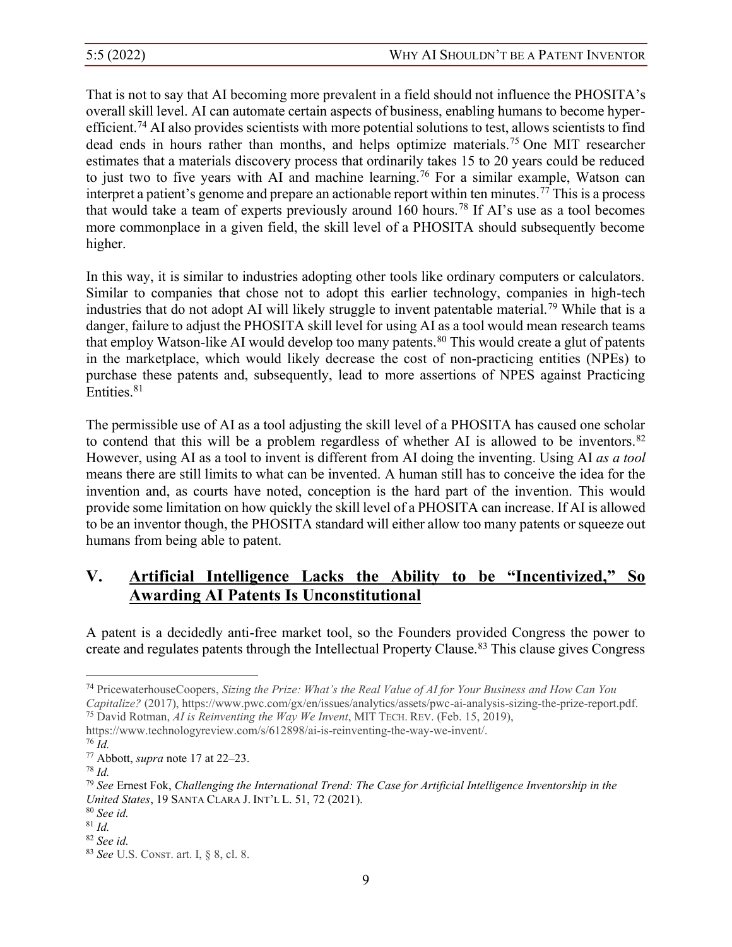That is not to say that AI becoming more prevalent in a field should not influence the PHOSITA's overall skill level. AI can automate certain aspects of business, enabling humans to become hyperefficient.<sup>74</sup> AI also provides scientists with more potential solutions to test, allows scientists to find dead ends in hours rather than months, and helps optimize materials.75 One MIT researcher estimates that a materials discovery process that ordinarily takes 15 to 20 years could be reduced to just two to five years with AI and machine learning.76 For a similar example, Watson can interpret a patient's genome and prepare an actionable report within ten minutes.<sup>77</sup> This is a process that would take a team of experts previously around 160 hours.<sup>78</sup> If AI's use as a tool becomes more commonplace in a given field, the skill level of a PHOSITA should subsequently become higher.

In this way, it is similar to industries adopting other tools like ordinary computers or calculators. Similar to companies that chose not to adopt this earlier technology, companies in high-tech industries that do not adopt AI will likely struggle to invent patentable material.<sup>79</sup> While that is a danger, failure to adjust the PHOSITA skill level for using AI as a tool would mean research teams that employ Watson-like AI would develop too many patents.<sup>80</sup> This would create a glut of patents in the marketplace, which would likely decrease the cost of non-practicing entities (NPEs) to purchase these patents and, subsequently, lead to more assertions of NPES against Practicing Entities.<sup>81</sup>

The permissible use of AI as a tool adjusting the skill level of a PHOSITA has caused one scholar to contend that this will be a problem regardless of whether AI is allowed to be inventors.  $82$ However, using AI as a tool to invent is different from AI doing the inventing. Using AI *as a tool* means there are still limits to what can be invented. A human still has to conceive the idea for the invention and, as courts have noted, conception is the hard part of the invention. This would provide some limitation on how quickly the skill level of a PHOSITA can increase. If AI is allowed to be an inventor though, the PHOSITA standard will either allow too many patents or squeeze out humans from being able to patent.

# **V. Artificial Intelligence Lacks the Ability to be "Incentivized," So Awarding AI Patents Is Unconstitutional**

A patent is a decidedly anti-free market tool, so the Founders provided Congress the power to create and regulates patents through the Intellectual Property Clause.83 This clause gives Congress

<sup>74</sup> PricewaterhouseCoopers, *Sizing the Prize: What's the Real Value of AI for Your Business and How Can You Capitalize?* (2017), https://www.pwc.com/gx/en/issues/analytics/assets/pwc-ai-analysis-sizing-the-prize-report.pdf.

<sup>75</sup> David Rotman, *AI is Reinventing the Way We Invent*, MIT TECH. REV. (Feb. 15, 2019),

https://www.technologyreview.com/s/612898/ai-is-reinventing-the-way-we-invent/.

<sup>76</sup> *Id.*

<sup>&</sup>lt;sup>77</sup> Abbott, *supra* note 17 at 22–23.<br><sup>78</sup> *Id.* 

<sup>79</sup> *See* Ernest Fok, *Challenging the International Trend: The Case for Artificial Intelligence Inventorship in the United States*, 19 SANTA CLARA J. INT'L L. 51, 72 (2021).

<sup>80</sup> *See id.*

<sup>81</sup> *Id.*

<sup>82</sup> *See id.*

<sup>&</sup>lt;sup>83</sup> *See* U.S. Const. art. I, § 8, cl. 8.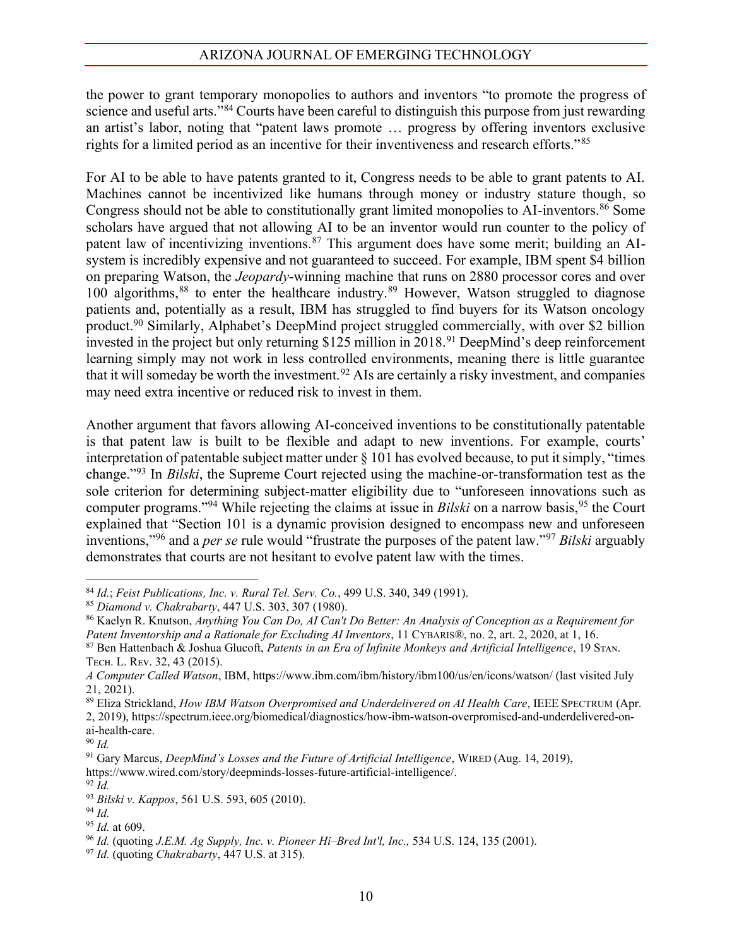the power to grant temporary monopolies to authors and inventors "to promote the progress of science and useful arts." $84$  Courts have been careful to distinguish this purpose from just rewarding an artist's labor, noting that "patent laws promote ... progress by offering inventors exclusive rights for a limited period as an incentive for their inventiveness and research efforts.<sup>785</sup>

For AI to be able to have patents granted to it, Congress needs to be able to grant patents to AI. Machines cannot be incentivized like humans through money or industry stature though, so Congress should not be able to constitutionally grant limited monopolies to AI-inventors.<sup>86</sup> Some scholars have argued that not allowing AI to be an inventor would run counter to the policy of patent law of incentivizing inventions.<sup>87</sup> This argument does have some merit; building an AIsystem is incredibly expensive and not guaranteed to succeed. For example, IBM spent \$4 billion on preparing Watson, the *Jeopardy*-winning machine that runs on 2880 processor cores and over 100 algorithms,88 to enter the healthcare industry.89 However, Watson struggled to diagnose patients and, potentially as a result, IBM has struggled to find buyers for its Watson oncology product.<sup>90</sup> Similarly, Alphabet's DeepMind project struggled commercially, with over \$2 billion invested in the project but only returning \$125 million in 2018.<sup>91</sup> DeepMind's deep reinforcement learning simply may not work in less controlled environments, meaning there is little guarantee that it will someday be worth the investment.92 AIs are certainly a risky investment, and companies may need extra incentive or reduced risk to invest in them.

Another argument that favors allowing AI-conceived inventions to be constitutionally patentable is that patent law is built to be flexible and adapt to new inventions. For example, courts' interpretation of patentable subject matter under  $\S$  101 has evolved because, to put it simply, "times change."<sup>93</sup> In *Bilski*, the Supreme Court rejected using the machine-or-transformation test as the sole criterion for determining subject-matter eligibility due to "unforeseen innovations such as computer programs."<sup>94</sup> While rejecting the claims at issue in *Bilski* on a narrow basis,<sup>95</sup> the Court explained that "Section 101 is a dynamic provision designed to encompass new and unforeseen inventions,"<sup>96</sup> and a *per se* rule would "frustrate the purposes of the patent law."<sup>97</sup> Bilski arguably demonstrates that courts are not hesitant to evolve patent law with the times.

<sup>90</sup> *Id.*

<sup>84</sup> *Id.*; *Feist Publications, Inc. v. Rural Tel. Serv. Co.*, 499 U.S. 340, 349 (1991).

<sup>85</sup> *Diamond v. Chakrabarty*, 447 U.S. 303, 307 (1980).

<sup>86</sup> Kaelyn R. Knutson, *Anything You Can Do, AI Can't Do Better: An Analysis of Conception as a Requirement for Patent Inventorship and a Rationale for Excluding AI Inventors*, 11 CYBARIS®, no. 2, art. 2, 2020, at 1, 16.

<sup>87</sup> Ben Hattenbach & Joshua Glucoft, *Patents* in an *Era of Infinite Monkeys and Artificial Intelligence*, 19 STAN. Тесн. L. Rev. 32, 43 (2015).

*A Computer Called Watson*, IBM, https://www.ibm.com/ibm/history/ibm100/us/en/icons/watson/ (last visited July 21, 2021).

<sup>89</sup> Eliza Strickland, *How IBM Watson Overpromised and Underdelivered on AI Health Care*, IEEE SPECTRUM (Apr.

<sup>2, 2019),</sup> https://spectrum.ieee.org/biomedical/diagnostics/how-ibm-watson-overpromised-and-underdelivered-onai-health-care.

<sup>&</sup>lt;sup>91</sup> Gary Marcus, *DeepMind's Losses and the Future of Artificial Intelligence*, WIRED (Aug. 14, 2019), https://www.wired.com/story/deepminds-losses-future-artificial-intelligence/. 92 *Id.*

<sup>93</sup> *Bilski v. Kappos*, 561 U.S. 593, 605 (2010). <sup>94</sup> *Id.*

<sup>95</sup> *Id.* at 609.

<sup>&</sup>lt;sup>96</sup> *Id.* (quoting *J.E.M. Ag Supply, Inc. v. Pioneer Hi-Bred Int'l, Inc.,* 534 U.S. 124, 135 (2001). <sup>97</sup> *Id.* (quoting *Chakrabarty*, 447 U.S. at 315).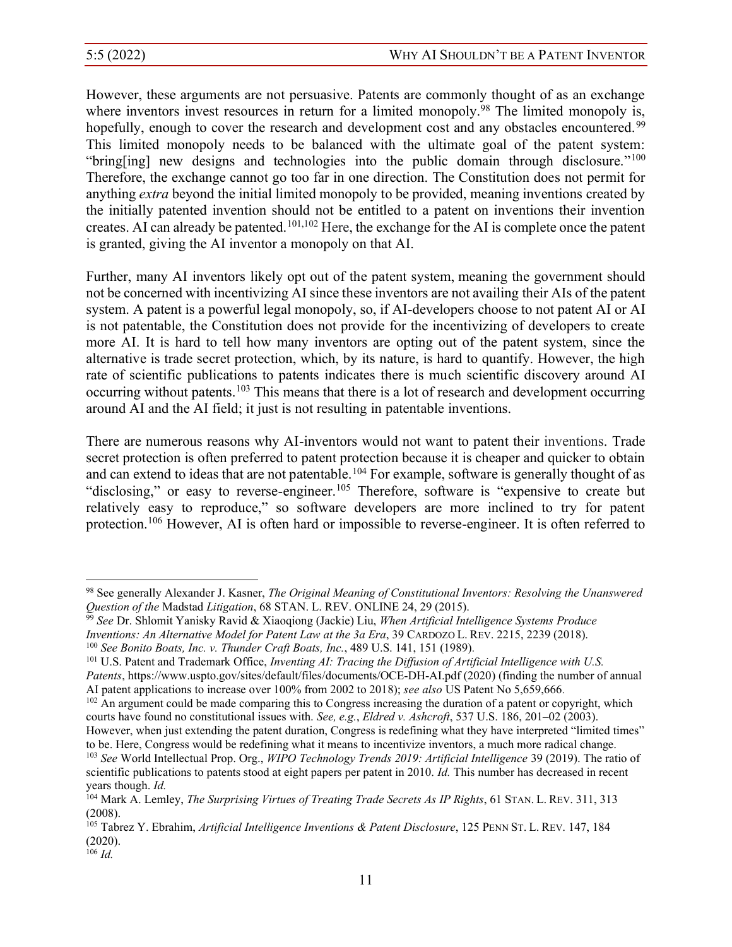However, these arguments are not persuasive. Patents are commonly thought of as an exchange where inventors invest resources in return for a limited monopoly.<sup>98</sup> The limited monopoly is, hopefully, enough to cover the research and development cost and any obstacles encountered.<sup>99</sup> This limited monopoly needs to be balanced with the ultimate goal of the patent system: "bring[ing] new designs and technologies into the public domain through disclosure."<sup>100</sup> Therefore, the exchange cannot go too far in one direction. The Constitution does not permit for anything *extra* beyond the initial limited monopoly to be provided, meaning inventions created by the initially patented invention should not be entitled to a patent on inventions their invention creates. AI can already be patented.101,102 Here, the exchange for the AI is complete once the patent is granted, giving the AI inventor a monopoly on that AI.

Further, many AI inventors likely opt out of the patent system, meaning the government should not be concerned with incentivizing AI since these inventors are not availing their AIs of the patent system. A patent is a powerful legal monopoly, so, if AI-developers choose to not patent AI or AI is not patentable, the Constitution does not provide for the incentivizing of developers to create more AI. It is hard to tell how many inventors are opting out of the patent system, since the alternative is trade secret protection, which, by its nature, is hard to quantify. However, the high rate of scientific publications to patents indicates there is much scientific discovery around AI occurring without patents.103 This means that there is a lot of research and development occurring around AI and the AI field; it just is not resulting in patentable inventions.

There are numerous reasons why AI-inventors would not want to patent their inventions. Trade secret protection is often preferred to patent protection because it is cheaper and quicker to obtain and can extend to ideas that are not patentable.<sup>104</sup> For example, software is generally thought of as "disclosing," or easy to reverse-engineer.<sup>105</sup> Therefore, software is "expensive to create but relatively easy to reproduce," so software developers are more inclined to try for patent protection.<sup>106</sup> However, AI is often hard or impossible to reverse-engineer. It is often referred to

<sup>98</sup> See generally Alexander J. Kasner, *The Original Meaning of Constitutional Inventors: Resolving the Unanswered Question of the* Madstad *Litigation*, 68 STAN. L. REV. ONLINE 24, 29 (2015).

<sup>99</sup> *See* Dr. Shlomit Yanisky Ravid & Xiaoqiong (Jackie) Liu, *When Artificial Intelligence Systems Produce Inventions: An Alternative Model for Patent Law at the 3a Era*, 39 CARDOZO L. REV. 2215, 2239 (2018).

<sup>100</sup> *See Bonito Boats, Inc. v. Thunder Craft Boats, Inc.*, 489 U.S. 141, 151 (1989).

<sup>101</sup> U.S. Patent and Trademark Office, *Inventing AI: Tracing the Diffusion of Artificial Intelligence with U.S. Patents*, https://www.uspto.gov/sites/default/files/documents/OCE-DH-AI.pdf (2020) (finding the number of annual AI patent applications to increase over 100% from 2002 to 2018); *see also* US Patent No 5,659,666.

<sup>&</sup>lt;sup>102</sup> An argument could be made comparing this to Congress increasing the duration of a patent or copyright, which courts have found no constitutional issues with. *See, e.g.*, *Eldred v. Ashcroft*, 537 U.S. 186, 201–02 (2003).

However, when just extending the patent duration, Congress is redefining what they have interpreted "limited times" to be. Here, Congress would be redefining what it means to incentivize inventors, a much more radical change.

<sup>103</sup> *See* World Intellectual Prop. Org., *WIPO Technology Trends 2019: Artificial Intelligence* 39 (2019). The ratio of scientific publications to patents stood at eight papers per patent in 2010. *Id.* This number has decreased in recent years though. *Id.*

<sup>104</sup> Mark A. Lemley, *The Surprising Virtues of Treating Trade Secrets As IP Rights*, 61 STAN. L. REV. 311, 313 (2008).

<sup>105</sup> Tabrez Y. Ebrahim, *Artificial Intelligence Inventions & Patent Disclosure*, 125 PENN ST. L. REV. 147, 184 (2020).

<sup>106</sup> *Id.*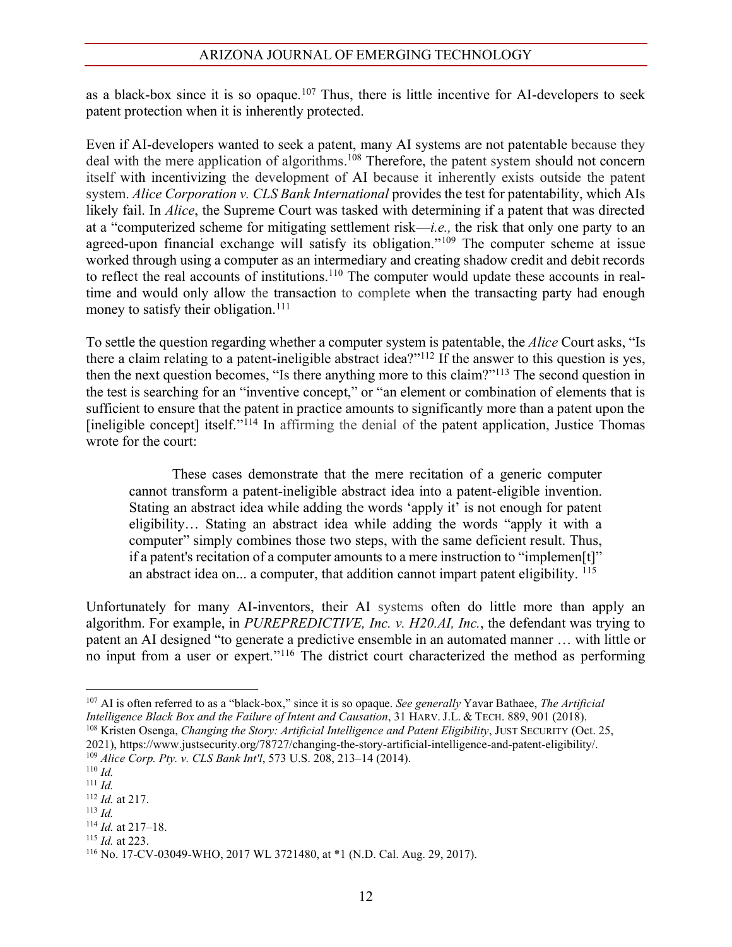as a black-box since it is so opaque.<sup>107</sup> Thus, there is little incentive for AI-developers to seek patent protection when it is inherently protected.

Even if AI-developers wanted to seek a patent, many AI systems are not patentable because they deal with the mere application of algorithms. <sup>108</sup> Therefore, the patent system should not concern itself with incentivizing the development of AI because it inherently exists outside the patent system. *Alice Corporation v. CLS Bank International* provides the test for patentability, which AIs likely fail. In *Alice*, the Supreme Court was tasked with determining if a patent that was directed at a "computerized scheme for mitigating settlement risk—*i.e.*, the risk that only one party to an agreed-upon financial exchange will satisfy its obligation."<sup>109</sup> The computer scheme at issue worked through using a computer as an intermediary and creating shadow credit and debit records to reflect the real accounts of institutions.<sup>110</sup> The computer would update these accounts in realtime and would only allow the transaction to complete when the transacting party had enough money to satisfy their obligation.<sup>111</sup>

To settle the question regarding whether a computer system is patentable, the *Alice* Court asks, "Is there a claim relating to a patent-ineligible abstract idea?"<sup>112</sup> If the answer to this question is yes, then the next question becomes, "Is there anything more to this claim?"<sup>113</sup> The second question in the test is searching for an "inventive concept," or "an element or combination of elements that is sufficient to ensure that the patent in practice amounts to significantly more than a patent upon the [ineligible concept] itself." $114$  In affirming the denial of the patent application, Justice Thomas wrote for the court:

These cases demonstrate that the mere recitation of a generic computer cannot transform a patent-ineligible abstract idea into a patent-eligible invention. Stating an abstract idea while adding the words 'apply it' is not enough for patent eligibility... Stating an abstract idea while adding the words "apply it with a computer" simply combines those two steps, with the same deficient result. Thus, if a patent's recitation of a computer amounts to a mere instruction to "implemen[t]" an abstract idea on... a computer, that addition cannot impart patent eligibility. <sup>115</sup>

Unfortunately for many AI-inventors, their AI systems often do little more than apply an algorithm. For example, in *PUREPREDICTIVE, Inc. v. H20.AI, Inc.*, the defendant was trying to patent an AI designed "to generate a predictive ensemble in an automated manner ... with little or no input from a user or expert."<sup>116</sup> The district court characterized the method as performing

<sup>&</sup>lt;sup>107</sup> AI is often referred to as a "black-box," since it is so opaque. See generally Yavar Bathaee, *The Artificial Intelligence Black Box and the Failure of Intent and Causation*, 31 HARV. J.L. & TECH. 889, 901 (2018).  $^{108}$  Kristen Osenga, *Changing the Story: Artificial Intelligence and Patent Eligibility*, JUST SECURITY (Oct. 25,

<sup>2021),</sup> https://www.justsecurity.org/78727/changing-the-story-artificial-intelligence-and-patent-eligibility/. 109 *Alice Corp. Pty. v. CLS Bank Int'l,* 573 U.S. 208, 213-14 (2014).

<sup>110</sup> *Id.*

<sup>111</sup> *Id.*

<sup>112</sup> *Id.* at 217.

<sup>113</sup> *Id.*

 $114$  *Id.* at  $217-18$ . <sup>115</sup> *Id.* at 223.

<sup>116</sup> No. 17-CV-03049-WHO, 2017 WL 3721480, at \*1 (N.D. Cal. Aug. 29, 2017).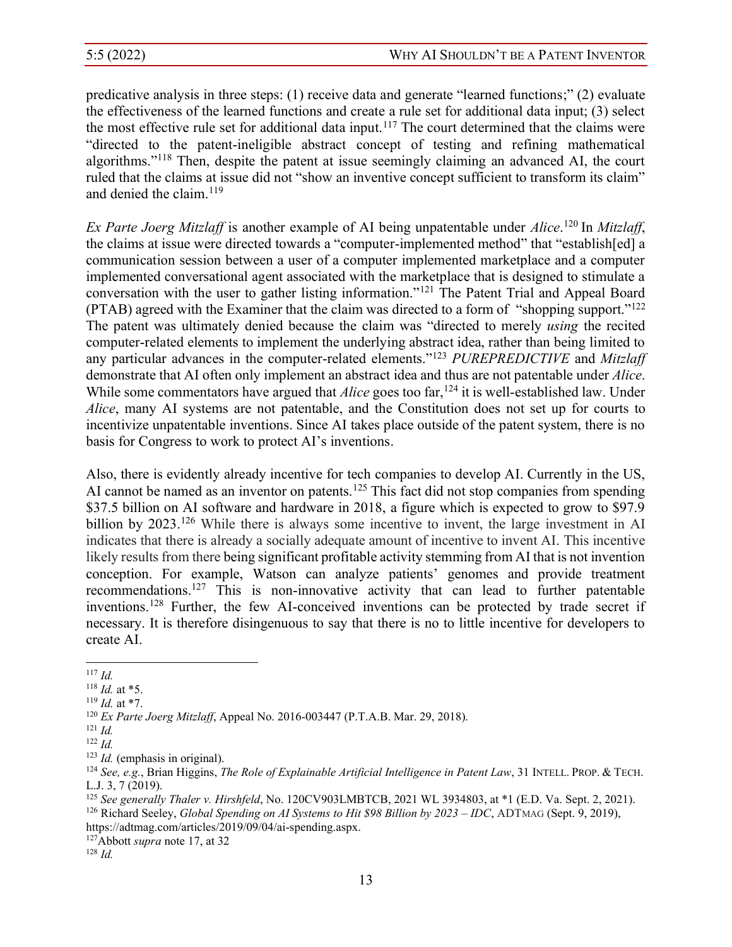predicative analysis in three steps:  $(1)$  receive data and generate "learned functions;"  $(2)$  evaluate the effectiveness of the learned functions and create a rule set for additional data input; (3) select the most effective rule set for additional data input.<sup>117</sup> The court determined that the claims were "directed to the patent-ineligible abstract concept of testing and refining mathematical algorithms."<sup>118</sup> Then, despite the patent at issue seemingly claiming an advanced AI, the court ruled that the claims at issue did not "show an inventive concept sufficient to transform its claim" and denied the claim.<sup>119</sup>

*Ex Parte Joerg Mitzlaff* is another example of AI being unpatentable under *Alice*. <sup>120</sup> In *Mitzlaff*, the claims at issue were directed towards a "computer-implemented method" that "establish[ed] a communication session between a user of a computer implemented marketplace and a computer implemented conversational agent associated with the marketplace that is designed to stimulate a conversation with the user to gather listing information."<sup>121</sup> The Patent Trial and Appeal Board (PTAB) agreed with the Examiner that the claim was directed to a form of "shopping support." $122$ The patent was ultimately denied because the claim was "directed to merely *using* the recited computer-related elements to implement the underlying abstract idea, rather than being limited to any particular advances in the computer-related elements."<sup>123</sup> *PUREPREDICTIVE* and *Mitzlaff* demonstrate that AI often only implement an abstract idea and thus are not patentable under *Alice*. While some commentators have argued that *Alice* goes too far,<sup>124</sup> it is well-established law. Under *Alice*, many AI systems are not patentable, and the Constitution does not set up for courts to incentivize unpatentable inventions. Since AI takes place outside of the patent system, there is no basis for Congress to work to protect AI's inventions.

Also, there is evidently already incentive for tech companies to develop AI. Currently in the US, AI cannot be named as an inventor on patents.<sup>125</sup> This fact did not stop companies from spending \$37.5 billion on AI software and hardware in 2018, a figure which is expected to grow to \$97.9 billion by 2023.<sup>126</sup> While there is always some incentive to invent, the large investment in AI indicates that there is already a socially adequate amount of incentive to invent AI. This incentive likely results from there being significant profitable activity stemming from AI that is not invention conception. For example, Watson can analyze patients' genomes and provide treatment recommendations.127 This is non-innovative activity that can lead to further patentable inventions.128 Further, the few AI-conceived inventions can be protected by trade secret if necessary. It is therefore disingenuous to say that there is no to little incentive for developers to create AI.

https://adtmag.com/articles/2019/09/04/ai-spending.aspx.

127Abbott *supra* note 17, at 32

<sup>128</sup> *Id.*

<sup>117</sup> *Id.*

<sup>118</sup> *Id.* at \*5.

<sup>119</sup> *Id.* at \*7.

<sup>120</sup> *Ex Parte Joerg Mitzlaff*, Appeal No. 2016-003447 (P.T.A.B. Mar. 29, 2018).

<sup>121</sup> *Id.*

 $\frac{122}{123}$  *Id.* (emphasis in original).

<sup>123</sup> *Id.* (emphasis in original). 124 *See, e.g.*, Brian Higgins, *The Role of Explainable Artificial Intelligence in Patent Law*, 31 INTELL. PROP. & TECH. L.J. 3, 7 (2019). 125 *See generally Thaler v. Hirshfeld*, No. 120CV903LMBTCB, 2021 WL 3934803, at \*1 (E.D. Va. Sept. 2, 2021).

<sup>&</sup>lt;sup>126</sup> Richard Seeley, *Global Spending on AI Systems to Hit \$98 Billion by 2023 – IDC*, ADTMAG (Sept. 9, 2019),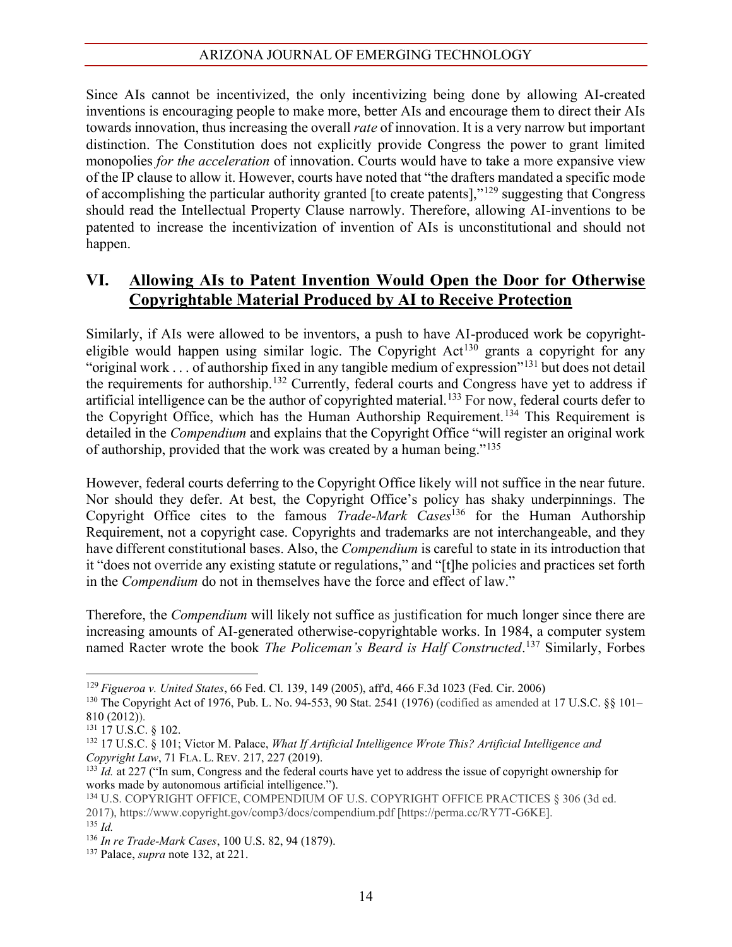Since AIs cannot be incentivized, the only incentivizing being done by allowing AI-created inventions is encouraging people to make more, better AIs and encourage them to direct their AIs towards innovation, thus increasing the overall *rate* of innovation. It is a very narrow but important distinction. The Constitution does not explicitly provide Congress the power to grant limited monopolies *for the acceleration* of innovation. Courts would have to take a more expansive view of the IP clause to allow it. However, courts have noted that "the drafters mandated a specific mode of accomplishing the particular authority granted [to create patents],"<sup>129</sup> suggesting that Congress should read the Intellectual Property Clause narrowly. Therefore, allowing AI-inventions to be patented to increase the incentivization of invention of AIs is unconstitutional and should not happen.

## **VI. Allowing AIs to Patent Invention Would Open the Door for Otherwise Copyrightable Material Produced by AI to Receive Protection**

Similarly, if AIs were allowed to be inventors, a push to have AI-produced work be copyrighteligible would happen using similar logic. The Copyright  $Act^{130}$  grants a copyright for any "original work . . . of authorship fixed in any tangible medium of expression"<sup>131</sup> but does not detail the requirements for authorship.132 Currently, federal courts and Congress have yet to address if artificial intelligence can be the author of copyrighted material.<sup>133</sup> For now, federal courts defer to the Copyright Office, which has the Human Authorship Requirement.134 This Requirement is detailed in the *Compendium* and explains that the Copyright Office "will register an original work of authorship, provided that the work was created by a human being." $135$ 

However, federal courts deferring to the Copyright Office likely will not suffice in the near future. Nor should they defer. At best, the Copyright Office's policy has shaky underpinnings. The Copyright Office cites to the famous *Trade-Mark Cases*<sup>136</sup> for the Human Authorship Requirement, not a copyright case. Copyrights and trademarks are not interchangeable, and they have different constitutional bases. Also, the *Compendium* is careful to state in its introduction that it "does not override any existing statute or regulations," and "[t]he policies and practices set forth in the *Compendium* do not in themselves have the force and effect of law."

Therefore, the *Compendium* will likely not suffice as justification for much longer since there are increasing amounts of AI-generated otherwise-copyrightable works. In 1984, a computer system named Racter wrote the book *The Policeman's Beard is Half Constructed*.<sup>137</sup> Similarly, Forbes

<sup>129</sup> *Figueroa v. United States*, 66 Fed. Cl. 139, 149 (2005), aff'd, 466 F.3d 1023 (Fed. Cir. 2006)

<sup>&</sup>lt;sup>130</sup> The Copyright Act of 1976, Pub. L. No. 94-553, 90 Stat. 2541 (1976) (codified as amended at 17 U.S.C. §§ 101-810 (2012)).

<sup>131</sup> 17 U.S.C. § 102.

<sup>132</sup> 17 U.S.C. § 101; Victor M. Palace, *What If Artificial Intelligence Wrote This? Artificial Intelligence and Copyright Law*, 71 FLA. L. REV. 217, 227 (2019).

 $133$  *Id.* at 227 ("In sum, Congress and the federal courts have yet to address the issue of copyright ownership for works made by autonomous artificial intelligence.").

<sup>134</sup> U.S. COPYRIGHT OFFICE, COMPENDIUM OF U.S. COPYRIGHT OFFICE PRACTICES § 306 (3d ed. 2017), https://www.copyright.gov/comp3/docs/compendium.pdf [https://perma.cc/RY7T-G6KE]. <sup>135</sup> *Id.*

<sup>136</sup> *In re Trade-Mark Cases*, 100 U.S. 82, 94 (1879). 137 Palace, *supra* note 132, at 221.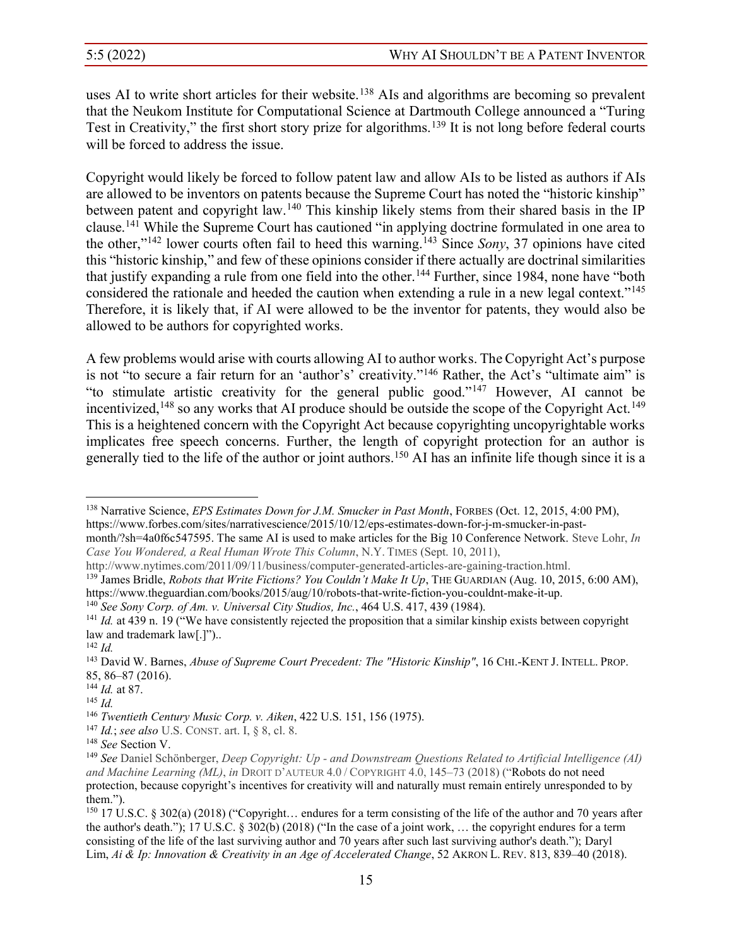uses AI to write short articles for their website.<sup>138</sup> AIs and algorithms are becoming so prevalent that the Neukom Institute for Computational Science at Dartmouth College announced a "Turing Test in Creativity," the first short story prize for algorithms.<sup>139</sup> It is not long before federal courts will be forced to address the issue.

Copyright would likely be forced to follow patent law and allow AIs to be listed as authors if AIs are allowed to be inventors on patents because the Supreme Court has noted the "historic kinship" between patent and copyright law.140 This kinship likely stems from their shared basis in the IP clause.<sup>141</sup> While the Supreme Court has cautioned "in applying doctrine formulated in one area to the other," $142$  lower courts often fail to heed this warning.<sup>143</sup> Since *Sony*, 37 opinions have cited this "historic kinship," and few of these opinions consider if there actually are doctrinal similarities that justify expanding a rule from one field into the other.<sup>144</sup> Further, since 1984, none have "both considered the rationale and heeded the caution when extending a rule in a new legal context."<sup>145</sup> Therefore, it is likely that, if AI were allowed to be the inventor for patents, they would also be allowed to be authors for copyrighted works.

A few problems would arise with courts allowing AI to author works. The Copyright Act's purpose is not "to secure a fair return for an 'author's' creativity."<sup>146</sup> Rather, the Act's "ultimate aim" is "to stimulate artistic creativity for the general public good."<sup>147</sup> However, AI cannot be incentivized,  $148$  so any works that AI produce should be outside the scope of the Copyright Act.<sup>149</sup> This is a heightened concern with the Copyright Act because copyrighting uncopyrightable works implicates free speech concerns. Further, the length of copyright protection for an author is generally tied to the life of the author or joint authors.<sup>150</sup> AI has an infinite life though since it is a

<sup>138</sup> Narrative Science, *EPS Estimates Down for J.M. Smucker in Past Month*, FORBES (Oct. 12, 2015, 4:00 PM), https://www.forbes.com/sites/narrativescience/2015/10/12/eps-estimates-down-for-j-m-smucker-in-pastmonth/?sh=4a0f6c547595. The same AI is used to make articles for the Big 10 Conference Network. Steve Lohr, *In*

*Case You Wondered, a Real Human Wrote This Column*, N.Y. TIMES (Sept. 10, 2011),

http://www.nytimes.com/2011/09/11/business/computer-generated-articles-are-gaining-traction.html.

<sup>&</sup>lt;sup>139</sup> James Bridle, *Robots that Write Fictions? You Couldn't Make It Up*, THE GUARDIAN (Aug. 10, 2015, 6:00 AM), https://www.theguardian.com/books/2015/aug/10/robots-that-write-fiction-you-couldnt-make-it-up.<br><sup>140</sup> See Sony Corp. of Am. v. Universal City Studios, Inc., 464 U.S. 417, 439 (1984).

 $141$  *Id.* at 439 n. 19 ("We have consistently rejected the proposition that a similar kinship exists between copyright law and trademark  $law[.]$ ")...

<sup>142</sup> *Id.*

<sup>143</sup> David W. Barnes, *Abuse of Supreme Court Precedent: The "Historic Kinship"*, 16 CHI.-KENT J. INTELL. PROP. 85, 86±87 (2016).

<sup>144</sup> *Id.* at 87.

<sup>145</sup> *Id.*

<sup>146</sup> *Twentieth Century Music Corp. v. Aiken*, 422 U.S. 151, 156 (1975).

<sup>147</sup> *Id.*; *see also* U.S. CONST. art. I, § 8, cl. 8.

<sup>&</sup>lt;sup>148</sup> See Section V.<br><sup>149</sup> See Daniel Schönberger, *Deep Copyright: Up - and Downstream Ouestions Related to Artificial Intelligence (AI)* and Machine Learning (ML), in DROIT D'AUTEUR 4.0 / COPYRIGHT 4.0, 145–73 (2018) ("Robots do not need protection, because copyright's incentives for creativity will and naturally must remain entirely unresponded to by them.").

 $150$  17 U.S.C. § 302(a) (2018) ("Copyright... endures for a term consisting of the life of the author and 70 years after the author's death."); 17 U.S.C.  $\S 302(b)$  (2018) ("In the case of a joint work, ... the copyright endures for a term consisting of the life of the last surviving author and 70 years after such last surviving author's death."); Daryl Lim, *Ai* & *Ip: Innovation* & *Creativity in an Age of Accelerated Change*, 52 AKRON L. REV. 813, 839–40 (2018).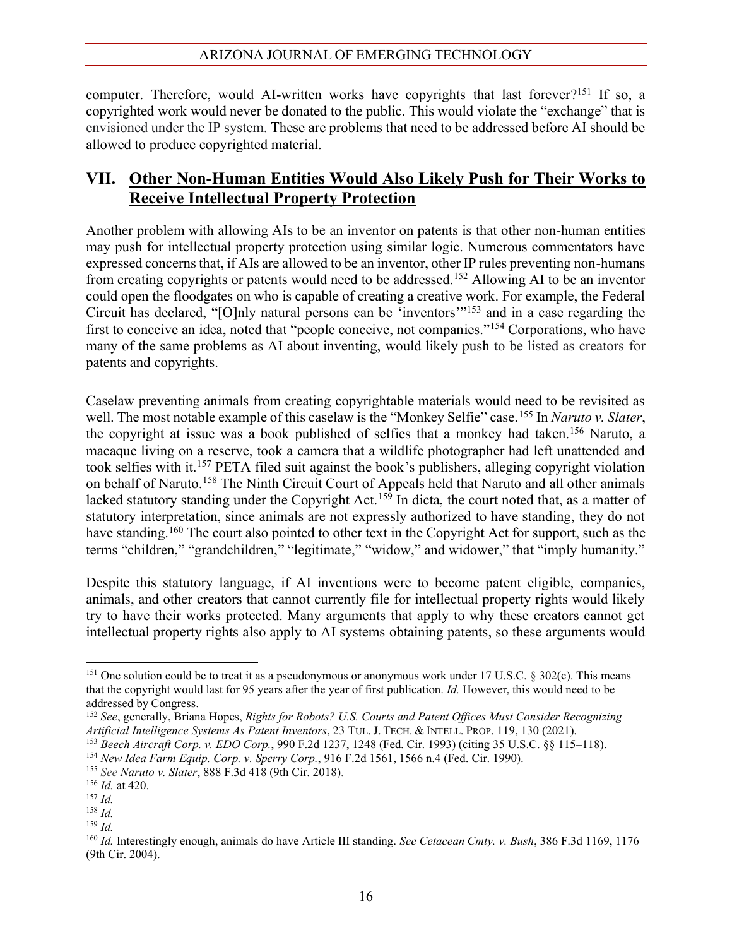computer. Therefore, would AI-written works have copyrights that last forever?<sup>151</sup> If so, a copyrighted work would never be donated to the public. This would violate the "exchange" that is envisioned under the IP system. These are problems that need to be addressed before AI should be allowed to produce copyrighted material.

## **VII. Other Non-Human Entities Would Also Likely Push for Their Works to Receive Intellectual Property Protection**

Another problem with allowing AIs to be an inventor on patents is that other non-human entities may push for intellectual property protection using similar logic. Numerous commentators have expressed concerns that, if AIs are allowed to be an inventor, other IP rules preventing non-humans from creating copyrights or patents would need to be addressed.152 Allowing AI to be an inventor could open the floodgates on who is capable of creating a creative work. For example, the Federal Circuit has declared. "[O]nly natural persons can be 'inventors"<sup>153</sup> and in a case regarding the first to conceive an idea, noted that "people conceive, not companies."<sup>154</sup> Corporations, who have many of the same problems as AI about inventing, would likely push to be listed as creators for patents and copyrights.

Caselaw preventing animals from creating copyrightable materials would need to be revisited as well. The most notable example of this caselaw is the "Monkey Selfie" case.<sup>155</sup> In *Naruto v. Slater*, the copyright at issue was a book published of selfies that a monkey had taken.156 Naruto, a macaque living on a reserve, took a camera that a wildlife photographer had left unattended and took selfies with it.<sup>157</sup> PETA filed suit against the book's publishers, alleging copyright violation on behalf of Naruto.158 The Ninth Circuit Court of Appeals held that Naruto and all other animals lacked statutory standing under the Copyright Act.<sup>159</sup> In dicta, the court noted that, as a matter of statutory interpretation, since animals are not expressly authorized to have standing, they do not have standing.<sup>160</sup> The court also pointed to other text in the Copyright Act for support, such as the terms "children," "grandchildren," "legitimate," "widow," and widower," that "imply humanity."

Despite this statutory language, if AI inventions were to become patent eligible, companies, animals, and other creators that cannot currently file for intellectual property rights would likely try to have their works protected. Many arguments that apply to why these creators cannot get intellectual property rights also apply to AI systems obtaining patents, so these arguments would

<sup>&</sup>lt;sup>151</sup> One solution could be to treat it as a pseudonymous or anonymous work under 17 U.S.C. § 302(c). This means that the copyright would last for 95 years after the year of first publication. *Id.* However, this would need to be addressed by Congress.

<sup>152</sup> *See*, generally, Briana Hopes, *Rights for Robots? U.S. Courts and Patent Offices Must Consider Recognizing Artificial Intelligence Systems As Patent Inventors*, 23 TUL. J. TECH. & INTELL. PROP. 119, 130 (2021).

<sup>&</sup>lt;sup>153</sup> Beech Aircraft Corp. v. EDO Corp., 990 F.2d 1237, 1248 (Fed. Cir. 1993) (citing 35 U.S.C. §§ 115–118).<br><sup>154</sup> New Idea Farm Eauip. Corp. v. Sperry Corp., 916 F.2d 1561, 1566 n.4 (Fed. Cir. 1990).

<sup>155</sup> *See Naruto v. Slater*, 888 F.3d 418 (9th Cir. 2018).

<sup>156</sup> *Id.* at 420. 157 *Id.*

<sup>158</sup> *Id.*

<sup>159</sup> *Id.*

<sup>160</sup> *Id.* Interestingly enough, animals do have Article III standing. *See Cetacean Cmty. v. Bush*, 386 F.3d 1169, 1176 (9th Cir. 2004).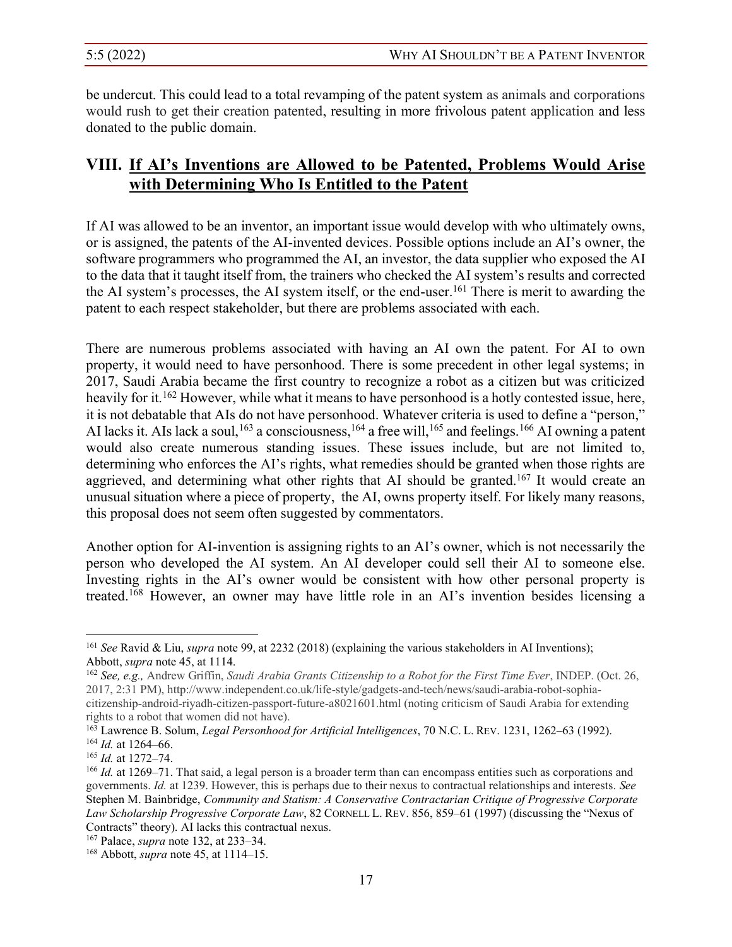be undercut. This could lead to a total revamping of the patent system as animals and corporations would rush to get their creation patented, resulting in more frivolous patent application and less donated to the public domain.

# **VIII.** If AI's Inventions are Allowed to be Patented, Problems Would Arise **with Determining Who Is Entitled to the Patent**

If AI was allowed to be an inventor, an important issue would develop with who ultimately owns, or is assigned, the patents of the AI-invented devices. Possible options include an AI's owner, the software programmers who programmed the AI, an investor, the data supplier who exposed the AI to the data that it taught itself from, the trainers who checked the AI system's results and corrected the AI system's processes, the AI system itself, or the end-user.<sup>161</sup> There is merit to awarding the patent to each respect stakeholder, but there are problems associated with each.

There are numerous problems associated with having an AI own the patent. For AI to own property, it would need to have personhood. There is some precedent in other legal systems; in 2017, Saudi Arabia became the first country to recognize a robot as a citizen but was criticized heavily for it.<sup>162</sup> However, while what it means to have personhood is a hotly contested issue, here, it is not debatable that AIs do not have personhood. Whatever criteria is used to define a "person," AI lacks it. AIs lack a soul,<sup>163</sup> a consciousness,<sup>164</sup> a free will,<sup>165</sup> and feelings.<sup>166</sup> AI owning a patent would also create numerous standing issues. These issues include, but are not limited to, determining who enforces the AI's rights, what remedies should be granted when those rights are aggrieved, and determining what other rights that AI should be granted.<sup>167</sup> It would create an unusual situation where a piece of property, the AI, owns property itself. For likely many reasons, this proposal does not seem often suggested by commentators.

Another option for AI-invention is assigning rights to an AI's owner, which is not necessarily the person who developed the AI system. An AI developer could sell their AI to someone else. Investing rights in the AI's owner would be consistent with how other personal property is treated.<sup>168</sup> However, an owner may have little role in an AI's invention besides licensing a

<sup>161</sup> *See* Ravid & Liu, *supra* note 99, at 2232 (2018) (explaining the various stakeholders in AI Inventions); Abbott, *supra* note 45, at 1114.

<sup>162</sup> *See, e.g.,* Andrew Griffin, *Saudi Arabia Grants Citizenship to a Robot for the First Time Ever*, INDEP. (Oct. 26, 2017, 2:31 PM), http://www.independent.co.uk/life-style/gadgets-and-tech/news/saudi-arabia-robot-sophiacitizenship-android-riyadh-citizen-passport-future-a8021601.html (noting criticism of Saudi Arabia for extending

rights to a robot that women did not have).<br><sup>163</sup> Lawrence B. Solum, *Legal Personhood for Artificial Intelligences*, 70 N.C. L. REV. 1231, 1262–63 (1992). <sup>164</sup> *Id.* at 1264-66.

<sup>&</sup>lt;sup>165</sup> *Id.* at 1272–74.

 $166$  *Id.* at 1269–71. That said, a legal person is a broader term than can encompass entities such as corporations and governments. *Id.* at 1239. However, this is perhaps due to their nexus to contractual relationships and interests. *See* Stephen M. Bainbridge, *Community and Statism: A Conservative Contractarian Critique of Progressive Corporate Law Scholarship Progressive Corporate Law*, 82 CORNELL L. REV. 856, 859–61 (1997) (discussing the "Nexus of Contracts" theory). AI lacks this contractual nexus.

<sup>&</sup>lt;sup>167</sup> Palace, *supra* note 132, at 233–34.

 $168$  Abbott, *supra* note 45, at 1114–15.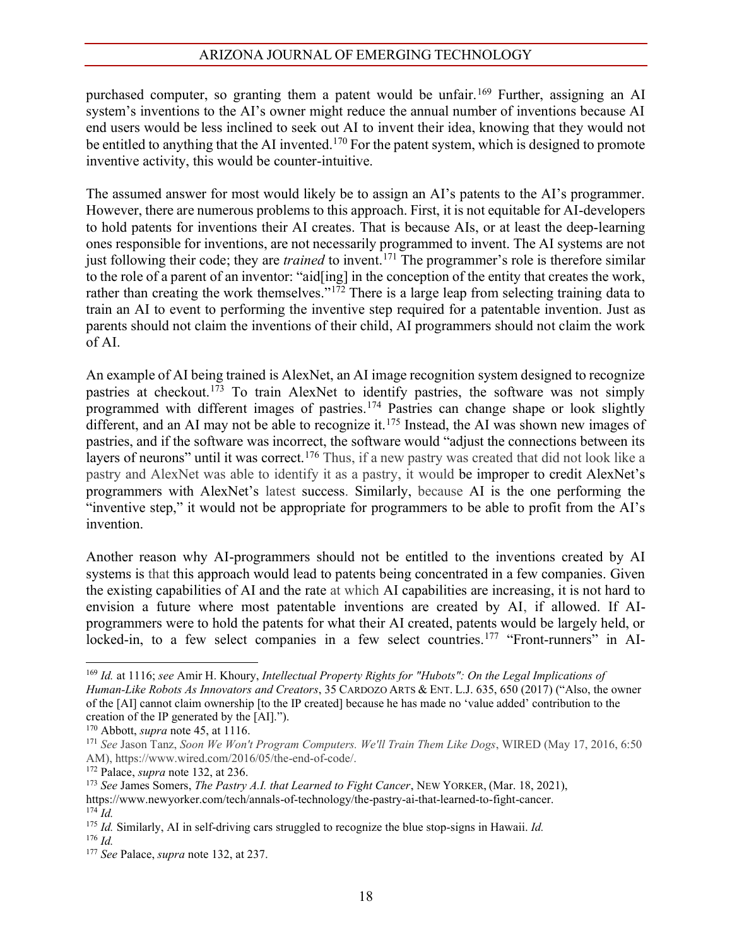purchased computer, so granting them a patent would be unfair.169 Further, assigning an AI system's inventions to the AI's owner might reduce the annual number of inventions because AI end users would be less inclined to seek out AI to invent their idea, knowing that they would not be entitled to anything that the AI invented.<sup>170</sup> For the patent system, which is designed to promote inventive activity, this would be counter-intuitive.

The assumed answer for most would likely be to assign an AI's patents to the AI's programmer. However, there are numerous problems to this approach. First, it is not equitable for AI-developers to hold patents for inventions their AI creates. That is because AIs, or at least the deep-learning ones responsible for inventions, are not necessarily programmed to invent. The AI systems are not just following their code; they are *trained* to invent.<sup>171</sup> The programmer's role is therefore similar to the role of a parent of an inventor: "aid[ing] in the conception of the entity that creates the work, rather than creating the work themselves."<sup>172</sup> There is a large leap from selecting training data to train an AI to event to performing the inventive step required for a patentable invention. Just as parents should not claim the inventions of their child, AI programmers should not claim the work of AI.

An example of AI being trained is AlexNet, an AI image recognition system designed to recognize pastries at checkout.<sup>173</sup> To train AlexNet to identify pastries, the software was not simply programmed with different images of pastries.174 Pastries can change shape or look slightly different, and an AI may not be able to recognize it.<sup>175</sup> Instead, the AI was shown new images of pastries, and if the software was incorrect, the software would "adjust the connections between its layers of neurons" until it was correct.<sup>176</sup> Thus, if a new pastry was created that did not look like a pastry and AlexNet was able to identify it as a pastry, it would be improper to credit AlexNet's programmers with AlexNet's latest success. Similarly, because AI is the one performing the "inventive step," it would not be appropriate for programmers to be able to profit from the AI's invention.

Another reason why AI-programmers should not be entitled to the inventions created by AI systems is that this approach would lead to patents being concentrated in a few companies. Given the existing capabilities of AI and the rate at which AI capabilities are increasing, it is not hard to envision a future where most patentable inventions are created by AI, if allowed. If AIprogrammers were to hold the patents for what their AI created, patents would be largely held, or locked-in, to a few select companies in a few select countries.<sup>177</sup> "Front-runners" in AI-

<sup>169</sup> *Id.* at 1116; *see* Amir H. Khoury, *Intellectual Property Rights for "Hubots": On the Legal Implications of Human-Like Robots As Innovators and Creators*, 35 CARDOZO ARTS & ENT. L.J. 635, 650 (2017) ("Also, the owner of the [AI] cannot claim ownership [to the IP created] because he has made no 'value added' contribution to the creation of the IP generated by the [AI].").

<sup>170</sup> Abbott, *supra* note 45, at 1116.

<sup>171</sup> *See* Jason Tanz, *Soon We Won't Program Computers. We'll Train Them Like Dogs*, WIRED (May 17, 2016, 6:50 AM), https://www.wired.com/2016/05/the-end-of-code/.

<sup>&</sup>lt;sup>172</sup> Palace, *supra* note 132, at 236.<br><sup>173</sup> *See* James Somers, *The Pastry A.I. that Learned to Fight Cancer*, NEW YORKER, (Mar. 18, 2021), https://www.newyorker.com/tech/annals-of-technology/the-pastry-ai-that-learned-to-fight-cancer. <sup>174</sup> *Id.*

<sup>175</sup> *Id.* Similarly, AI in self-driving cars struggled to recognize the blue stop-signs in Hawaii. *Id.* <sup>176</sup> *Id.*

<sup>177</sup> *See* Palace, *supra* note 132, at 237.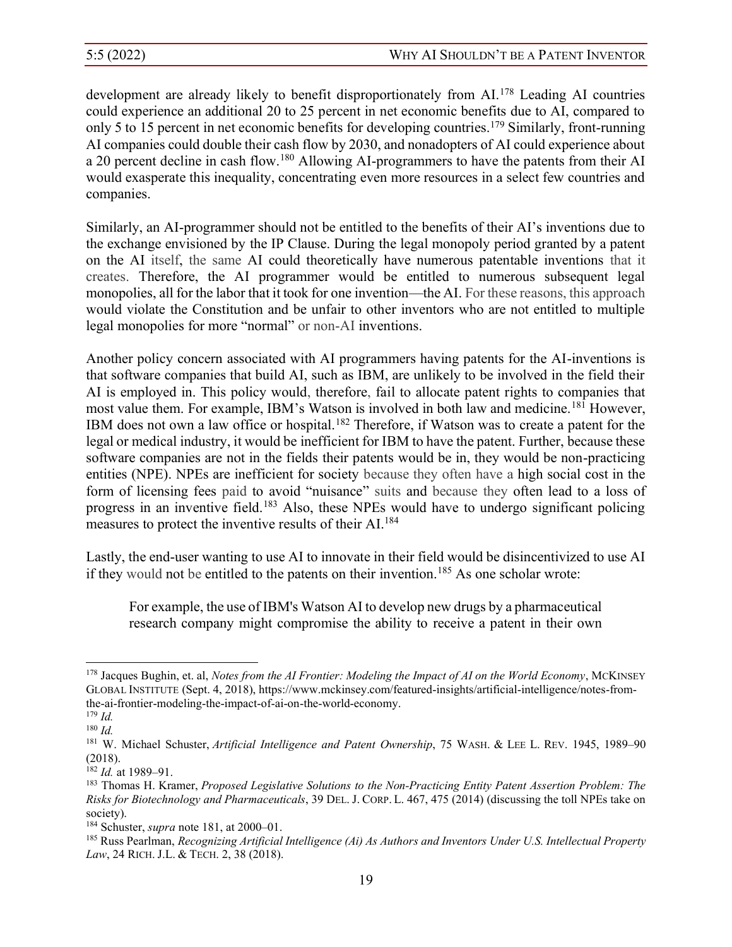development are already likely to benefit disproportionately from AI.<sup>178</sup> Leading AI countries could experience an additional 20 to 25 percent in net economic benefits due to AI, compared to only 5 to 15 percent in net economic benefits for developing countries.179 Similarly, front-running AI companies could double their cash flow by 2030, and nonadopters of AI could experience about a 20 percent decline in cash flow.180 Allowing AI-programmers to have the patents from their AI would exasperate this inequality, concentrating even more resources in a select few countries and companies.

Similarly, an AI-programmer should not be entitled to the benefits of their AI's inventions due to the exchange envisioned by the IP Clause. During the legal monopoly period granted by a patent on the AI itself, the same AI could theoretically have numerous patentable inventions that it creates. Therefore, the AI programmer would be entitled to numerous subsequent legal monopolies, all for the labor that it took for one invention—the AI. For these reasons, this approach would violate the Constitution and be unfair to other inventors who are not entitled to multiple legal monopolies for more "normal" or non-AI inventions.

Another policy concern associated with AI programmers having patents for the AI-inventions is that software companies that build AI, such as IBM, are unlikely to be involved in the field their AI is employed in. This policy would, therefore, fail to allocate patent rights to companies that most value them. For example, IBM's Watson is involved in both law and medicine.<sup>181</sup> However, IBM does not own a law office or hospital.<sup>182</sup> Therefore, if Watson was to create a patent for the legal or medical industry, it would be inefficient for IBM to have the patent. Further, because these software companies are not in the fields their patents would be in, they would be non-practicing entities (NPE). NPEs are inefficient for society because they often have a high social cost in the form of licensing fees paid to avoid "nuisance" suits and because they often lead to a loss of progress in an inventive field.183 Also, these NPEs would have to undergo significant policing measures to protect the inventive results of their AI.184

Lastly, the end-user wanting to use AI to innovate in their field would be disincentivized to use AI if they would not be entitled to the patents on their invention.<sup>185</sup> As one scholar wrote:

For example, the use of IBM's Watson AI to develop new drugs by a pharmaceutical research company might compromise the ability to receive a patent in their own

<sup>&</sup>lt;sup>178</sup> Jacques Bughin, et. al, *Notes from the AI Frontier: Modeling the Impact of AI on the World Economy*, MCKINSEY GLOBAL INSTITUTE (Sept. 4, 2018), https://www.mckinsey.com/featured-insights/artificial-intelligence/notes-fromthe-ai-frontier-modeling-the-impact-of-ai-on-the-world-economy.

<sup>179</sup> *Id.* <sup>180</sup> *Id.*

<sup>181</sup> W. Michael Schuster, Artificial Intelligence and Patent Ownership, 75 WASH. & LEE L. REV. 1945, 1989-90 (2018).

<sup>182</sup> *Id.* at 1989±91. 183 Thomas H. Kramer, *Proposed Legislative Solutions to the Non-Practicing Entity Patent Assertion Problem: The Risks for Biotechnology and Pharmaceuticals*, 39 DEL. J. CORP. L. 467, 475 (2014) (discussing the toll NPEs take on society).

<sup>&</sup>lt;sup>184</sup> Schuster, *supra* note 181, at 2000–01.

<sup>185</sup> Russ Pearlman, *Recognizing Artificial Intelligence (Ai) As Authors and Inventors Under U.S. Intellectual Property Law*, 24 RICH. J.L. & TECH. 2, 38 (2018).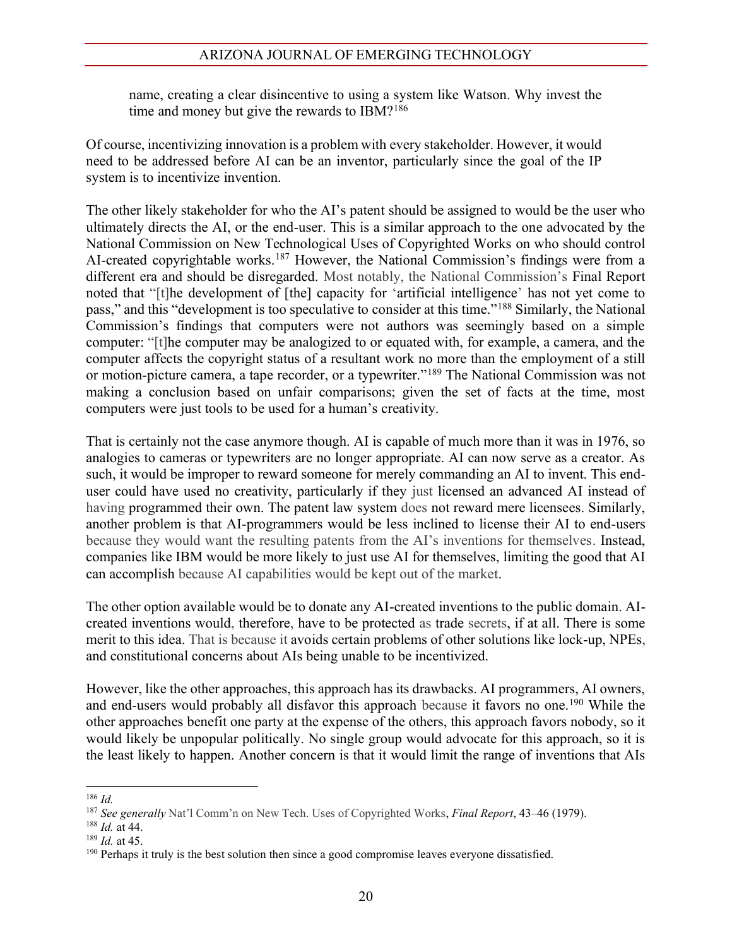name, creating a clear disincentive to using a system like Watson. Why invest the time and money but give the rewards to IBM?<sup>186</sup>

Of course, incentivizing innovation is a problem with every stakeholder. However, it would need to be addressed before AI can be an inventor, particularly since the goal of the IP system is to incentivize invention.

The other likely stakeholder for who the AI's patent should be assigned to would be the user who ultimately directs the AI, or the end-user. This is a similar approach to the one advocated by the National Commission on New Technological Uses of Copyrighted Works on who should control AI-created copyrightable works.<sup>187</sup> However, the National Commission's findings were from a different era and should be disregarded. Most notably, the National Commission's Final Report noted that "[t]he development of [the] capacity for 'artificial intelligence' has not yet come to pass," and this "development is too speculative to consider at this time."<sup>188</sup> Similarly, the National Commission's findings that computers were not authors was seemingly based on a simple computer: "[t]he computer may be analogized to or equated with, for example, a camera, and the computer affects the copyright status of a resultant work no more than the employment of a still or motion-picture camera, a tape recorder, or a typewriter."<sup>189</sup> The National Commission was not making a conclusion based on unfair comparisons; given the set of facts at the time, most computers were just tools to be used for a human's creativity.

That is certainly not the case anymore though. AI is capable of much more than it was in 1976, so analogies to cameras or typewriters are no longer appropriate. AI can now serve as a creator. As such, it would be improper to reward someone for merely commanding an AI to invent. This enduser could have used no creativity, particularly if they just licensed an advanced AI instead of having programmed their own. The patent law system does not reward mere licensees. Similarly, another problem is that AI-programmers would be less inclined to license their AI to end-users because they would want the resulting patents from the AI's inventions for themselves. Instead, companies like IBM would be more likely to just use AI for themselves, limiting the good that AI can accomplish because AI capabilities would be kept out of the market.

The other option available would be to donate any AI-created inventions to the public domain. AIcreated inventions would, therefore, have to be protected as trade secrets, if at all. There is some merit to this idea. That is because it avoids certain problems of other solutions like lock-up, NPEs, and constitutional concerns about AIs being unable to be incentivized.

However, like the other approaches, this approach has its drawbacks. AI programmers, AI owners, and end-users would probably all disfavor this approach because it favors no one.<sup>190</sup> While the other approaches benefit one party at the expense of the others, this approach favors nobody, so it would likely be unpopular politically. No single group would advocate for this approach, so it is the least likely to happen. Another concern is that it would limit the range of inventions that AIs

<sup>186</sup> *Id.*

<sup>&</sup>lt;sup>187</sup> See generally Nat'l Comm'n on New Tech. Uses of Copyrighted Works, *Final Report*, 43–46 (1979).

<sup>188</sup> *Id.* at 44.

<sup>189</sup> *Id.* at 45.

<sup>&</sup>lt;sup>190</sup> Perhaps it truly is the best solution then since a good compromise leaves everyone dissatisfied.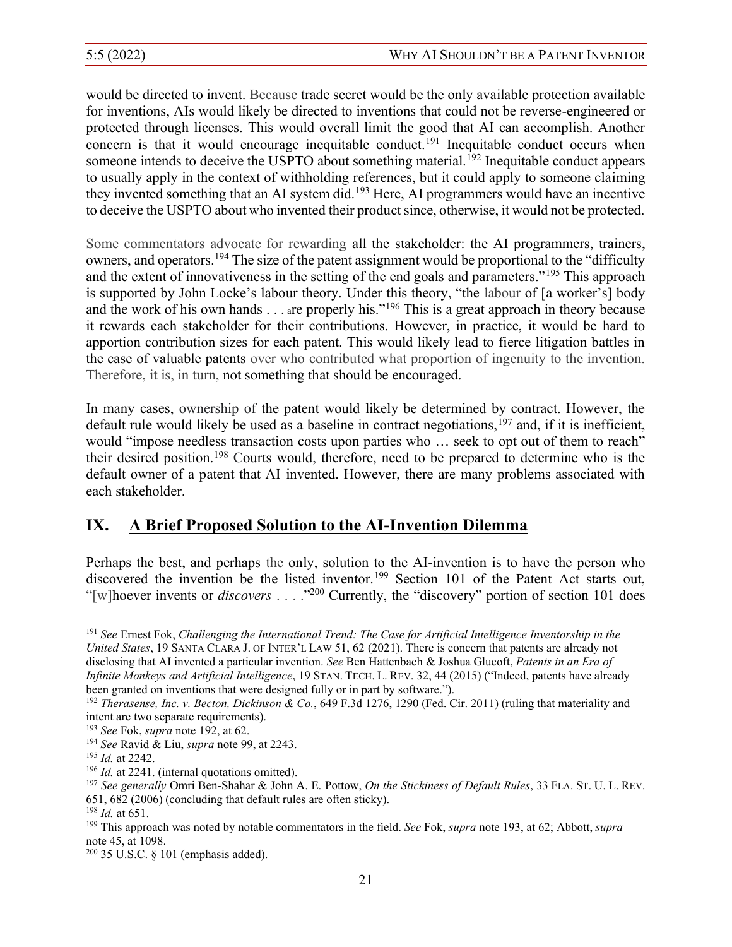would be directed to invent. Because trade secret would be the only available protection available for inventions, AIs would likely be directed to inventions that could not be reverse-engineered or protected through licenses. This would overall limit the good that AI can accomplish. Another concern is that it would encourage inequitable conduct.<sup>191</sup> Inequitable conduct occurs when someone intends to deceive the USPTO about something material.<sup>192</sup> Inequitable conduct appears to usually apply in the context of withholding references, but it could apply to someone claiming they invented something that an AI system did.<sup>193</sup> Here, AI programmers would have an incentive to deceive the USPTO about who invented their product since, otherwise, it would not be protected.

Some commentators advocate for rewarding all the stakeholder: the AI programmers, trainers, owners, and operators.<sup>194</sup> The size of the patent assignment would be proportional to the "difficulty" and the extent of innovativeness in the setting of the end goals and parameters."<sup>195</sup> This approach is supported by John Locke's labour theory. Under this theory, "the labour of [a worker's] body and the work of his own hands  $\ldots$  are properly his."<sup>196</sup> This is a great approach in theory because it rewards each stakeholder for their contributions. However, in practice, it would be hard to apportion contribution sizes for each patent. This would likely lead to fierce litigation battles in the case of valuable patents over who contributed what proportion of ingenuity to the invention. Therefore, it is, in turn, not something that should be encouraged.

In many cases, ownership of the patent would likely be determined by contract. However, the default rule would likely be used as a baseline in contract negotiations,  $197$  and, if it is inefficient, would "impose needless transaction costs upon parties who ... seek to opt out of them to reach" their desired position.198 Courts would, therefore, need to be prepared to determine who is the default owner of a patent that AI invented. However, there are many problems associated with each stakeholder.

# **IX. A Brief Proposed Solution to the AI-Invention Dilemma**

Perhaps the best, and perhaps the only, solution to the AI-invention is to have the person who discovered the invention be the listed inventor.<sup>199</sup> Section 101 of the Patent Act starts out, "[w]hoever invents or *discovers* . . . .<sup>2200</sup> Currently, the "discovery" portion of section 101 does

<sup>191</sup> *See* Ernest Fok, *Challenging the International Trend: The Case for Artificial Intelligence Inventorship in the United States*, 19 SANTA CLARA J. OF INTER'L LAW 51, 62 (2021). There is concern that patents are already not disclosing that AI invented a particular invention. *See* Ben Hattenbach & Joshua Glucoft, *Patents in an Era of Infinite Monkeys and Artificial Intelligence,* 19 STAN. TECH. L. REV. 32, 44 (2015) ("Indeed, patents have already been granted on inventions that were designed fully or in part by software.").

<sup>192</sup> *Therasense, Inc. v. Becton, Dickinson & Co.*, 649 F.3d 1276, 1290 (Fed. Cir. 2011) (ruling that materiality and intent are two separate requirements).

<sup>193</sup> *See* Fok, *supra* note 192, at 62.

<sup>194</sup> *See* Ravid & Liu, *supra* note 99, at 2243. 195 *Id.* at 2242.

<sup>&</sup>lt;sup>196</sup> *Id.* at 2241. (internal quotations omitted).

<sup>197</sup> *See generally* Omri Ben-Shahar & John A. E. Pottow, *On the Stickiness of Default Rules*, 33 FLA. ST. U. L. REV. 651, 682 (2006) (concluding that default rules are often sticky). 198 *Id.* at 651. 199 This approach was noted by notable commentators in the field. *See* Fok, *supra* note 193, at 62; Abbott, *supra*

note 45, at 1098.

 $200$  35 U.S.C. § 101 (emphasis added).